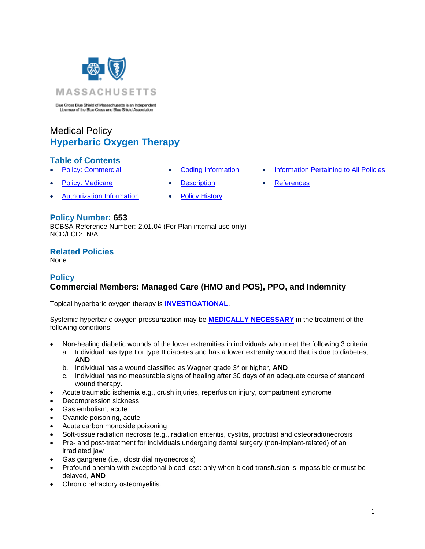

Blue Cross Blue Shield of Massachusetts is an Independent Licensee of the Blue Cross and Blue Shield Association

# Medical Policy **Hyperbaric Oxygen Therapy**

## **Table of Contents**

- 
- **Policy: Medicare [Description](#page-21-0) [References](#page-26-1)**
- [Authorization Information](#page-2-1) [Policy History](#page-25-0)
- 
- **[Policy: Commercial](#page-0-0) [Coding Information](#page-2-0) [Information Pertaining to All Policies](#page-26-0)** 
	-

## **Policy Number: 653**

BCBSA Reference Number: 2.01.04 (For Plan internal use only) NCD/LCD: N/A

## **Related Policies**

<span id="page-0-0"></span>None

## **Policy**

## **Commercial Members: Managed Care (HMO and POS), PPO, and Indemnity**

Topical hyperbaric oxygen therapy is **[INVESTIGATIONAL](https://www.bluecrossma.org/medical-policies/sites/g/files/csphws2091/files/acquiadam-assets/Definition%20of%20Med%20Nec%20Inv%20Not%20Med%20Nec%20prn.pdf#page=1)**.

Systemic hyperbaric oxygen pressurization may be **[MEDICALLY NECESSARY](https://www.bluecrossma.org/medical-policies/sites/g/files/csphws2091/files/acquiadam-assets/Definition%20of%20Med%20Nec%20Inv%20Not%20Med%20Nec%20prn.pdf#page=1)** in the treatment of the following conditions:

- Non-healing diabetic wounds of the lower extremities in individuals who meet the following 3 criteria:
	- a. Individual has type I or type II diabetes and has a lower extremity wound that is due to diabetes, **AND**
	- b. Individual has a wound classified as Wagner grade 3\* or higher, **AND**
	- c. Individual has no measurable signs of healing after 30 days of an adequate course of standard wound therapy.
- Acute traumatic ischemia e.g., crush injuries, reperfusion injury, compartment syndrome
- Decompression sickness
- Gas embolism, acute
- Cyanide poisoning, acute
- Acute carbon monoxide poisoning
- Soft-tissue radiation necrosis (e.g., radiation enteritis, cystitis, proctitis) and osteoradionecrosis
- Pre- and post-treatment for individuals undergoing dental surgery (non-implant-related) of an irradiated jaw
- Gas gangrene (i.e., clostridial myonecrosis)
- Profound anemia with exceptional blood loss: only when blood transfusion is impossible or must be delayed, **AND**
- Chronic refractory osteomyelitis.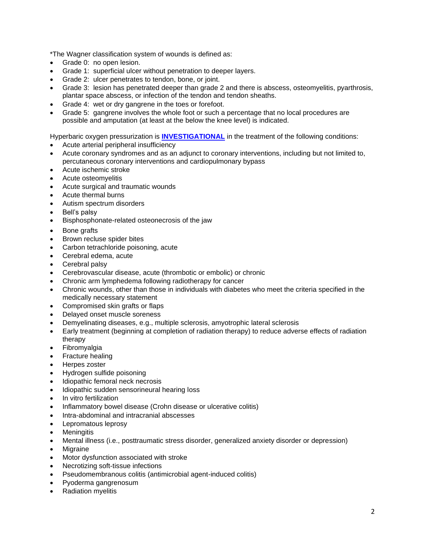\*The Wagner classification system of wounds is defined as:

- Grade 0: no open lesion.
- Grade 1: superficial ulcer without penetration to deeper layers.
- Grade 2: ulcer penetrates to tendon, bone, or joint.
- Grade 3: lesion has penetrated deeper than grade 2 and there is abscess, osteomyelitis, pyarthrosis, plantar space abscess, or infection of the tendon and tendon sheaths.
- Grade 4: wet or dry gangrene in the toes or forefoot.
- Grade 5: gangrene involves the whole foot or such a percentage that no local procedures are possible and amputation (at least at the below the knee level) is indicated.
- Hyperbaric oxygen pressurization is **[INVESTIGATIONAL](https://www.bluecrossma.org/medical-policies/sites/g/files/csphws2091/files/acquiadam-assets/Definition%20of%20Med%20Nec%20Inv%20Not%20Med%20Nec%20prn.pdf#page=1)** in the treatment of the following conditions:
- Acute arterial peripheral insufficiency
- Acute coronary syndromes and as an adjunct to coronary interventions, including but not limited to, percutaneous coronary interventions and cardiopulmonary bypass
- Acute ischemic stroke
- Acute osteomyelitis
- Acute surgical and traumatic wounds
- Acute thermal burns
- Autism spectrum disorders
- Bell's palsy
- Bisphosphonate-related osteonecrosis of the jaw
- Bone grafts
- Brown recluse spider bites
- Carbon tetrachloride poisoning, acute
- Cerebral edema, acute
- Cerebral palsy
- Cerebrovascular disease, acute (thrombotic or embolic) or chronic
- Chronic arm lymphedema following radiotherapy for cancer
- Chronic wounds, other than those in individuals with diabetes who meet the criteria specified in the medically necessary statement
- Compromised skin grafts or flaps
- Delayed onset muscle soreness
- Demyelinating diseases, e.g., multiple sclerosis, amyotrophic lateral sclerosis
- Early treatment (beginning at completion of radiation therapy) to reduce adverse effects of radiation therapy
- **Fibromyalgia**
- Fracture healing
- Herpes zoster
- Hydrogen sulfide poisoning
- Idiopathic femoral neck necrosis
- Idiopathic sudden sensorineural hearing loss
- In vitro fertilization
- Inflammatory bowel disease (Crohn disease or ulcerative colitis)
- Intra-abdominal and intracranial abscesses
- Lepromatous leprosy
- **Meningitis**
- Mental illness (i.e., posttraumatic stress disorder, generalized anxiety disorder or depression)
- **Migraine**
- Motor dysfunction associated with stroke
- Necrotizing soft-tissue infections
- Pseudomembranous colitis (antimicrobial agent-induced colitis)
- Pyoderma gangrenosum
- Radiation myelitis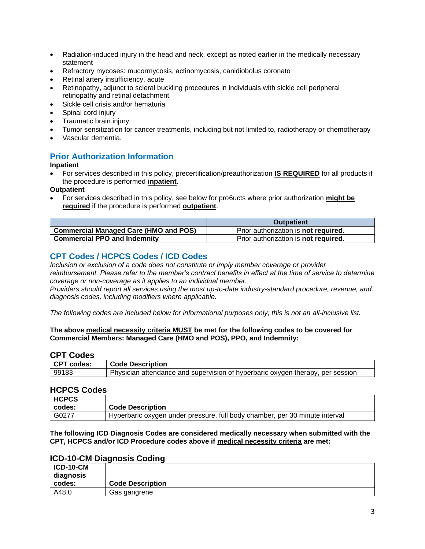- Radiation-induced injury in the head and neck, except as noted earlier in the medically necessary statement
- Refractory mycoses: mucormycosis, actinomycosis, canidiobolus coronato
- Retinal artery insufficiency, acute
- Retinopathy, adjunct to scleral buckling procedures in individuals with sickle cell peripheral retinopathy and retinal detachment
- Sickle cell crisis and/or hematuria
- Spinal cord injury
- Traumatic brain injury
- Tumor sensitization for cancer treatments, including but not limited to, radiotherapy or chemotherapy
- Vascular dementia.

## <span id="page-2-1"></span>**Prior Authorization Information**

#### **Inpatient**

• For services described in this policy, precertification/preauthorization **IS REQUIRED** for all products if the procedure is performed **inpatient**.

#### **Outpatient**

• For services described in this policy, see below for pro6ucts where prior authorization **might be required** if the procedure is performed **outpatient**.

|                                              | <b>Outpatient</b>                            |
|----------------------------------------------|----------------------------------------------|
| <b>Commercial Managed Care (HMO and POS)</b> | Prior authorization is <b>not required</b> . |
| <b>Commercial PPO and Indemnity</b>          | Prior authorization is <b>not required.</b>  |

## <span id="page-2-0"></span>**CPT Codes / HCPCS Codes / ICD Codes**

*Inclusion or exclusion of a code does not constitute or imply member coverage or provider reimbursement. Please refer to the member's contract benefits in effect at the time of service to determine coverage or non-coverage as it applies to an individual member.* 

*Providers should report all services using the most up-to-date industry-standard procedure, revenue, and diagnosis codes, including modifiers where applicable.*

*The following codes are included below for informational purposes only; this is not an all-inclusive list.*

#### **The above medical necessity criteria MUST be met for the following codes to be covered for Commercial Members: Managed Care (HMO and POS), PPO, and Indemnity:**

## **CPT Codes**

| CPT codes: | <b>Code Description</b>                                                        |
|------------|--------------------------------------------------------------------------------|
| 99183      | Physician attendance and supervision of hyperbaric oxygen therapy, per session |

### **HCPCS Codes**

| <b>HCPCS</b> |                                                                             |
|--------------|-----------------------------------------------------------------------------|
| codes:       | <b>Code Description</b>                                                     |
| l G0277      | Hyperbaric oxygen under pressure, full body chamber, per 30 minute interval |

**The following ICD Diagnosis Codes are considered medically necessary when submitted with the CPT, HCPCS and/or ICD Procedure codes above if medical necessity criteria are met:**

## **ICD-10-CM Diagnosis Coding**

| <b>ICD-10-CM</b><br>diagnosis |                         |
|-------------------------------|-------------------------|
| codes:                        | <b>Code Description</b> |
| A48.0                         | Gas gangrene            |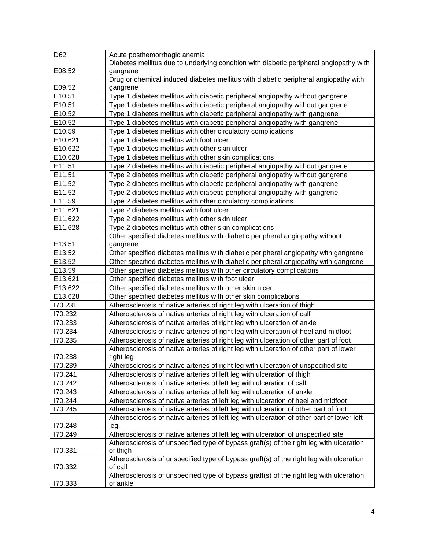| D62     | Acute posthemorrhagic anemia                                                               |
|---------|--------------------------------------------------------------------------------------------|
|         | Diabetes mellitus due to underlying condition with diabetic peripheral angiopathy with     |
| E08.52  | gangrene                                                                                   |
|         | Drug or chemical induced diabetes mellitus with diabetic peripheral angiopathy with        |
| E09.52  | gangrene                                                                                   |
| E10.51  | Type 1 diabetes mellitus with diabetic peripheral angiopathy without gangrene              |
| E10.51  | Type 1 diabetes mellitus with diabetic peripheral angiopathy without gangrene              |
| E10.52  | Type 1 diabetes mellitus with diabetic peripheral angiopathy with gangrene                 |
| E10.52  | Type 1 diabetes mellitus with diabetic peripheral angiopathy with gangrene                 |
| E10.59  | Type 1 diabetes mellitus with other circulatory complications                              |
| E10.621 | Type 1 diabetes mellitus with foot ulcer                                                   |
| E10.622 | Type 1 diabetes mellitus with other skin ulcer                                             |
| E10.628 | Type 1 diabetes mellitus with other skin complications                                     |
| E11.51  | Type 2 diabetes mellitus with diabetic peripheral angiopathy without gangrene              |
| E11.51  | Type 2 diabetes mellitus with diabetic peripheral angiopathy without gangrene              |
| E11.52  | Type 2 diabetes mellitus with diabetic peripheral angiopathy with gangrene                 |
| E11.52  | Type 2 diabetes mellitus with diabetic peripheral angiopathy with gangrene                 |
| E11.59  | Type 2 diabetes mellitus with other circulatory complications                              |
| E11.621 | Type 2 diabetes mellitus with foot ulcer                                                   |
| E11.622 | Type 2 diabetes mellitus with other skin ulcer                                             |
| E11.628 | Type 2 diabetes mellitus with other skin complications                                     |
|         | Other specified diabetes mellitus with diabetic peripheral angiopathy without              |
| E13.51  | gangrene                                                                                   |
| E13.52  | Other specified diabetes mellitus with diabetic peripheral angiopathy with gangrene        |
| E13.52  | Other specified diabetes mellitus with diabetic peripheral angiopathy with gangrene        |
| E13.59  | Other specified diabetes mellitus with other circulatory complications                     |
| E13.621 | Other specified diabetes mellitus with foot ulcer                                          |
| E13.622 | Other specified diabetes mellitus with other skin ulcer                                    |
| E13.628 | Other specified diabetes mellitus with other skin complications                            |
| 170.231 | Atherosclerosis of native arteries of right leg with ulceration of thigh                   |
| 170.232 | Atherosclerosis of native arteries of right leg with ulceration of calf                    |
| 170.233 | Atherosclerosis of native arteries of right leg with ulceration of ankle                   |
| 170.234 | Atherosclerosis of native arteries of right leg with ulceration of heel and midfoot        |
| 170.235 | Atherosclerosis of native arteries of right leg with ulceration of other part of foot      |
|         | Atherosclerosis of native arteries of right leg with ulceration of other part of lower     |
| 170.238 | right leg                                                                                  |
| 170.239 | Atherosclerosis of native arteries of right leg with ulceration of unspecified site        |
| 170.241 | Atherosclerosis of native arteries of left leg with ulceration of thigh                    |
| 170.242 | Atherosclerosis of native arteries of left leg with ulceration of calf                     |
| 170.243 | Atherosclerosis of native arteries of left leg with ulceration of ankle                    |
| 170.244 | Atherosclerosis of native arteries of left leg with ulceration of heel and midfoot         |
| 170.245 | Atherosclerosis of native arteries of left leg with ulceration of other part of foot       |
|         | Atherosclerosis of native arteries of left leg with ulceration of other part of lower left |
| 170.248 | leg                                                                                        |
| 170.249 | Atherosclerosis of native arteries of left leg with ulceration of unspecified site         |
|         | Atherosclerosis of unspecified type of bypass graft(s) of the right leg with ulceration    |
| 170.331 | of thigh                                                                                   |
|         | Atherosclerosis of unspecified type of bypass graft(s) of the right leg with ulceration    |
| 170.332 | of calf                                                                                    |
|         | Atherosclerosis of unspecified type of bypass graft(s) of the right leg with ulceration    |
| 170.333 | of ankle                                                                                   |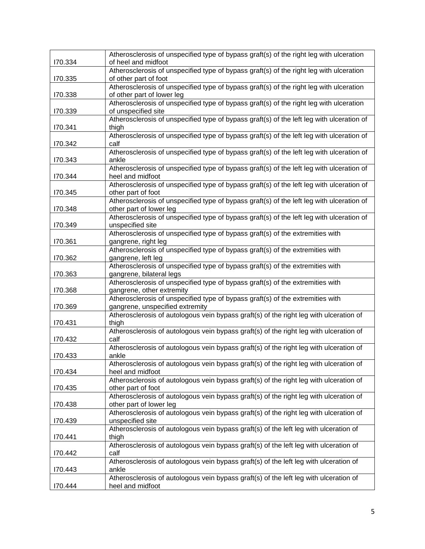| 170.334 | Atherosclerosis of unspecified type of bypass graft(s) of the right leg with ulceration<br>of heel and midfoot        |
|---------|-----------------------------------------------------------------------------------------------------------------------|
| 170.335 | Atherosclerosis of unspecified type of bypass graft(s) of the right leg with ulceration<br>of other part of foot      |
| 170.338 | Atherosclerosis of unspecified type of bypass graft(s) of the right leg with ulceration<br>of other part of lower leg |
| 170.339 | Atherosclerosis of unspecified type of bypass graft(s) of the right leg with ulceration<br>of unspecified site        |
| 170.341 | Atherosclerosis of unspecified type of bypass graft(s) of the left leg with ulceration of<br>thigh                    |
| 170.342 | Atherosclerosis of unspecified type of bypass graft(s) of the left leg with ulceration of<br>calf                     |
| 170.343 | Atherosclerosis of unspecified type of bypass graft(s) of the left leg with ulceration of<br>ankle                    |
| 170.344 | Atherosclerosis of unspecified type of bypass graft(s) of the left leg with ulceration of<br>heel and midfoot         |
| 170.345 | Atherosclerosis of unspecified type of bypass graft(s) of the left leg with ulceration of<br>other part of foot       |
| 170.348 | Atherosclerosis of unspecified type of bypass graft(s) of the left leg with ulceration of<br>other part of lower leg  |
| 170.349 | Atherosclerosis of unspecified type of bypass graft(s) of the left leg with ulceration of<br>unspecified site         |
| 170.361 | Atherosclerosis of unspecified type of bypass graft(s) of the extremities with<br>gangrene, right leg                 |
| 170.362 | Atherosclerosis of unspecified type of bypass graft(s) of the extremities with<br>gangrene, left leg                  |
| 170.363 | Atherosclerosis of unspecified type of bypass graft(s) of the extremities with<br>gangrene, bilateral legs            |
| 170.368 | Atherosclerosis of unspecified type of bypass graft(s) of the extremities with<br>gangrene, other extremity           |
| 170.369 | Atherosclerosis of unspecified type of bypass graft(s) of the extremities with<br>gangrene, unspecified extremity     |
| 170.431 | Atherosclerosis of autologous vein bypass graft(s) of the right leg with ulceration of<br>thigh                       |
| 170.432 | Atherosclerosis of autologous vein bypass graft(s) of the right leg with ulceration of<br>calf                        |
| 170.433 | Atherosclerosis of autologous vein bypass graft(s) of the right leg with ulceration of<br>ankle                       |
| 170.434 | Atherosclerosis of autologous vein bypass graft(s) of the right leg with ulceration of<br>heel and midfoot            |
| 170.435 | Atherosclerosis of autologous vein bypass graft(s) of the right leg with ulceration of<br>other part of foot          |
| 170.438 | Atherosclerosis of autologous vein bypass graft(s) of the right leg with ulceration of<br>other part of lower leg     |
| 170.439 | Atherosclerosis of autologous vein bypass graft(s) of the right leg with ulceration of<br>unspecified site            |
| 170.441 | Atherosclerosis of autologous vein bypass graft(s) of the left leg with ulceration of<br>thigh                        |
| 170.442 | Atherosclerosis of autologous vein bypass graft(s) of the left leg with ulceration of<br>calf                         |
| 170.443 | Atherosclerosis of autologous vein bypass graft(s) of the left leg with ulceration of<br>ankle                        |
| 170.444 | Atherosclerosis of autologous vein bypass graft(s) of the left leg with ulceration of<br>heel and midfoot             |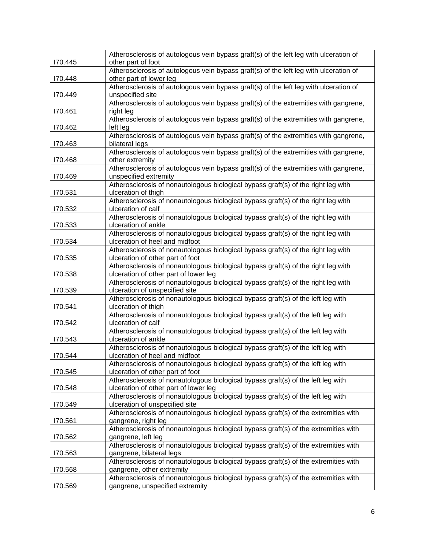|         | Atherosclerosis of autologous vein bypass graft(s) of the left leg with ulceration of                              |
|---------|--------------------------------------------------------------------------------------------------------------------|
| 170.445 | other part of foot                                                                                                 |
| 170.448 | Atherosclerosis of autologous vein bypass graft(s) of the left leg with ulceration of<br>other part of lower leg   |
|         | Atherosclerosis of autologous vein bypass graft(s) of the left leg with ulceration of                              |
| 170.449 | unspecified site                                                                                                   |
|         | Atherosclerosis of autologous vein bypass graft(s) of the extremities with gangrene,                               |
| 170.461 | right leg                                                                                                          |
|         | Atherosclerosis of autologous vein bypass graft(s) of the extremities with gangrene,                               |
| 170.462 | left leg                                                                                                           |
|         | Atherosclerosis of autologous vein bypass graft(s) of the extremities with gangrene,                               |
| 170.463 | bilateral legs                                                                                                     |
|         | Atherosclerosis of autologous vein bypass graft(s) of the extremities with gangrene,                               |
| 170.468 | other extremity                                                                                                    |
|         | Atherosclerosis of autologous vein bypass graft(s) of the extremities with gangrene,                               |
| 170.469 | unspecified extremity                                                                                              |
| 170.531 | Atherosclerosis of nonautologous biological bypass graft(s) of the right leg with<br>ulceration of thigh           |
|         | Atherosclerosis of nonautologous biological bypass graft(s) of the right leg with                                  |
| 170.532 | ulceration of calf                                                                                                 |
|         | Atherosclerosis of nonautologous biological bypass graft(s) of the right leg with                                  |
| 170.533 | ulceration of ankle                                                                                                |
|         | Atherosclerosis of nonautologous biological bypass graft(s) of the right leg with                                  |
| 170.534 | ulceration of heel and midfoot                                                                                     |
|         | Atherosclerosis of nonautologous biological bypass graft(s) of the right leg with                                  |
| I70.535 | ulceration of other part of foot                                                                                   |
|         | Atherosclerosis of nonautologous biological bypass graft(s) of the right leg with                                  |
| 170.538 | ulceration of other part of lower leg                                                                              |
|         | Atherosclerosis of nonautologous biological bypass graft(s) of the right leg with                                  |
| 170.539 | ulceration of unspecified site                                                                                     |
|         | Atherosclerosis of nonautologous biological bypass graft(s) of the left leg with                                   |
| 170.541 | ulceration of thigh                                                                                                |
|         | Atherosclerosis of nonautologous biological bypass graft(s) of the left leg with                                   |
| 170.542 | ulceration of calf                                                                                                 |
|         | Atherosclerosis of nonautologous biological bypass graft(s) of the left leg with                                   |
| 170.543 | ulceration of ankle                                                                                                |
| 170.544 | Atherosclerosis of nonautologous biological bypass graft(s) of the left leg with<br>ulceration of heel and midfoot |
|         | Atherosclerosis of nonautologous biological bypass graft(s) of the left leg with                                   |
| 170.545 | ulceration of other part of foot                                                                                   |
|         | Atherosclerosis of nonautologous biological bypass graft(s) of the left leg with                                   |
| 170.548 | ulceration of other part of lower leg                                                                              |
|         | Atherosclerosis of nonautologous biological bypass graft(s) of the left leg with                                   |
| 170.549 | ulceration of unspecified site                                                                                     |
|         | Atherosclerosis of nonautologous biological bypass graft(s) of the extremities with                                |
| 170.561 | gangrene, right leg                                                                                                |
|         | Atherosclerosis of nonautologous biological bypass graft(s) of the extremities with                                |
| 170.562 | gangrene, left leg                                                                                                 |
|         | Atherosclerosis of nonautologous biological bypass graft(s) of the extremities with                                |
| 170.563 | gangrene, bilateral legs                                                                                           |
|         | Atherosclerosis of nonautologous biological bypass graft(s) of the extremities with                                |
| 170.568 | gangrene, other extremity                                                                                          |
|         | Atherosclerosis of nonautologous biological bypass graft(s) of the extremities with                                |
| 170.569 | gangrene, unspecified extremity                                                                                    |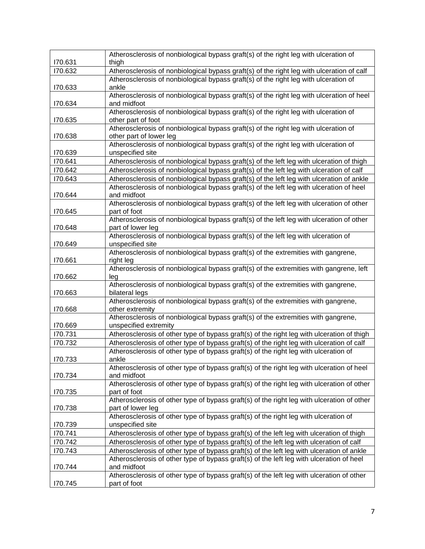|         | Atherosclerosis of nonbiological bypass graft(s) of the right leg with ulceration of                            |
|---------|-----------------------------------------------------------------------------------------------------------------|
| 170.631 | thigh                                                                                                           |
| 170.632 | Atherosclerosis of nonbiological bypass graft(s) of the right leg with ulceration of calf                       |
| 170.633 | Atherosclerosis of nonbiological bypass graft(s) of the right leg with ulceration of<br>ankle                   |
| 170.634 | Atherosclerosis of nonbiological bypass graft(s) of the right leg with ulceration of heel<br>and midfoot        |
| 170.635 | Atherosclerosis of nonbiological bypass graft(s) of the right leg with ulceration of<br>other part of foot      |
| 170.638 | Atherosclerosis of nonbiological bypass graft(s) of the right leg with ulceration of<br>other part of lower leg |
| 170.639 | Atherosclerosis of nonbiological bypass graft(s) of the right leg with ulceration of<br>unspecified site        |
| 170.641 | Atherosclerosis of nonbiological bypass graft(s) of the left leg with ulceration of thigh                       |
| 170.642 | Atherosclerosis of nonbiological bypass graft(s) of the left leg with ulceration of calf                        |
| 170.643 | Atherosclerosis of nonbiological bypass graft(s) of the left leg with ulceration of ankle                       |
| 170.644 | Atherosclerosis of nonbiological bypass graft(s) of the left leg with ulceration of heel<br>and midfoot         |
| 170.645 | Atherosclerosis of nonbiological bypass graft(s) of the left leg with ulceration of other<br>part of foot       |
| 170.648 | Atherosclerosis of nonbiological bypass graft(s) of the left leg with ulceration of other<br>part of lower leg  |
| 170.649 | Atherosclerosis of nonbiological bypass graft(s) of the left leg with ulceration of<br>unspecified site         |
| 170.661 | Atherosclerosis of nonbiological bypass graft(s) of the extremities with gangrene,<br>right leg                 |
| I70.662 | Atherosclerosis of nonbiological bypass graft(s) of the extremities with gangrene, left<br>leg                  |
| 170.663 | Atherosclerosis of nonbiological bypass graft(s) of the extremities with gangrene,<br>bilateral legs            |
| 170.668 | Atherosclerosis of nonbiological bypass graft(s) of the extremities with gangrene,<br>other extremity           |
| 170.669 | Atherosclerosis of nonbiological bypass graft(s) of the extremities with gangrene,<br>unspecified extremity     |
| 170.731 | Atherosclerosis of other type of bypass graft(s) of the right leg with ulceration of thigh                      |
| 170.732 | Atherosclerosis of other type of bypass graft(s) of the right leg with ulceration of calf                       |
| 170.733 | Atherosclerosis of other type of bypass graft(s) of the right leg with ulceration of<br>ankle                   |
| 170.734 | Atherosclerosis of other type of bypass graft(s) of the right leg with ulceration of heel<br>and midfoot        |
| 170.735 | Atherosclerosis of other type of bypass graft(s) of the right leg with ulceration of other<br>part of foot      |
|         | Atherosclerosis of other type of bypass graft(s) of the right leg with ulceration of other                      |
| 170.738 | part of lower leg<br>Atherosclerosis of other type of bypass graft(s) of the right leg with ulceration of       |
| 170.739 | unspecified site                                                                                                |
| 170.741 | Atherosclerosis of other type of bypass graft(s) of the left leg with ulceration of thigh                       |
| 170.742 | Atherosclerosis of other type of bypass graft(s) of the left leg with ulceration of calf                        |
| 170.743 | Atherosclerosis of other type of bypass graft(s) of the left leg with ulceration of ankle                       |
| 170.744 | Atherosclerosis of other type of bypass graft(s) of the left leg with ulceration of heel<br>and midfoot         |
| 170.745 | Atherosclerosis of other type of bypass graft(s) of the left leg with ulceration of other<br>part of foot       |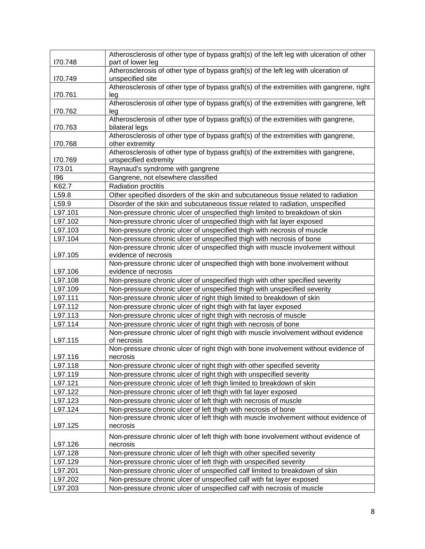|                    | Atherosclerosis of other type of bypass graft(s) of the left leg with ulceration of other<br>part of lower leg                             |
|--------------------|--------------------------------------------------------------------------------------------------------------------------------------------|
| 170.748            | Atherosclerosis of other type of bypass graft(s) of the left leg with ulceration of                                                        |
| 170.749            | unspecified site                                                                                                                           |
|                    | Atherosclerosis of other type of bypass graft(s) of the extremities with gangrene, right                                                   |
| 170.761            | leg                                                                                                                                        |
|                    | Atherosclerosis of other type of bypass graft(s) of the extremities with gangrene, left                                                    |
| 170.762            | leg                                                                                                                                        |
|                    | Atherosclerosis of other type of bypass graft(s) of the extremities with gangrene,                                                         |
| 170.763            | bilateral legs                                                                                                                             |
|                    | Atherosclerosis of other type of bypass graft(s) of the extremities with gangrene,                                                         |
| 170.768            | other extremity<br>Atherosclerosis of other type of bypass graft(s) of the extremities with gangrene,                                      |
| 170.769            | unspecified extremity                                                                                                                      |
| 173.01             | Raynaud's syndrome with gangrene                                                                                                           |
| 196                | Gangrene, not elsewhere classified                                                                                                         |
| K62.7              | Radiation proctitis                                                                                                                        |
| L59.8              | Other specified disorders of the skin and subcutaneous tissue related to radiation                                                         |
| L59.9              | Disorder of the skin and subcutaneous tissue related to radiation, unspecified                                                             |
| L97.101            | Non-pressure chronic ulcer of unspecified thigh limited to breakdown of skin                                                               |
| L97.102            | Non-pressure chronic ulcer of unspecified thigh with fat layer exposed                                                                     |
| L97.103            | Non-pressure chronic ulcer of unspecified thigh with necrosis of muscle                                                                    |
| L97.104            | Non-pressure chronic ulcer of unspecified thigh with necrosis of bone                                                                      |
|                    | Non-pressure chronic ulcer of unspecified thigh with muscle involvement without                                                            |
| L97.105            | evidence of necrosis                                                                                                                       |
|                    | Non-pressure chronic ulcer of unspecified thigh with bone involvement without                                                              |
| L97.106            | evidence of necrosis                                                                                                                       |
| L97.108            | Non-pressure chronic ulcer of unspecified thigh with other specified severity                                                              |
| L97.109<br>L97.111 | Non-pressure chronic ulcer of unspecified thigh with unspecified severity                                                                  |
| L97.112            | Non-pressure chronic ulcer of right thigh limited to breakdown of skin<br>Non-pressure chronic ulcer of right thigh with fat layer exposed |
| L97.113            | Non-pressure chronic ulcer of right thigh with necrosis of muscle                                                                          |
| L97.114            | Non-pressure chronic ulcer of right thigh with necrosis of bone                                                                            |
|                    | Non-pressure chronic ulcer of right thigh with muscle involvement without evidence                                                         |
| L97.115            | of necrosis                                                                                                                                |
|                    | Non-pressure chronic ulcer of right thigh with bone involvement without evidence of                                                        |
| L97.116            | necrosis                                                                                                                                   |
| L97.118            | Non-pressure chronic ulcer of right thigh with other specified severity                                                                    |
| L97.119            | Non-pressure chronic ulcer of right thigh with unspecified severity                                                                        |
| L97.121            | Non-pressure chronic ulcer of left thigh limited to breakdown of skin                                                                      |
| L97.122            | Non-pressure chronic ulcer of left thigh with fat layer exposed                                                                            |
| L97.123            | Non-pressure chronic ulcer of left thigh with necrosis of muscle                                                                           |
| L97.124            | Non-pressure chronic ulcer of left thigh with necrosis of bone                                                                             |
|                    | Non-pressure chronic ulcer of left thigh with muscle involvement without evidence of                                                       |
| L97.125            | necrosis                                                                                                                                   |
|                    | Non-pressure chronic ulcer of left thigh with bone involvement without evidence of                                                         |
| L97.126            | necrosis                                                                                                                                   |
| L97.128            | Non-pressure chronic ulcer of left thigh with other specified severity                                                                     |
| L97.129            | Non-pressure chronic ulcer of left thigh with unspecified severity                                                                         |
| L97.201            | Non-pressure chronic ulcer of unspecified calf limited to breakdown of skin                                                                |
| L97.202            | Non-pressure chronic ulcer of unspecified calf with fat layer exposed                                                                      |
| L97.203            | Non-pressure chronic ulcer of unspecified calf with necrosis of muscle                                                                     |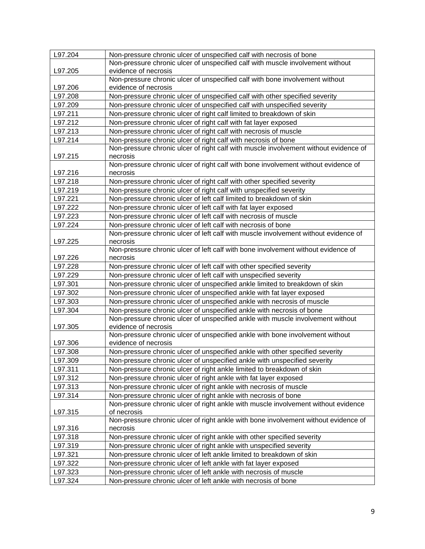| L97.204 | Non-pressure chronic ulcer of unspecified calf with necrosis of bone                 |
|---------|--------------------------------------------------------------------------------------|
|         | Non-pressure chronic ulcer of unspecified calf with muscle involvement without       |
| L97.205 | evidence of necrosis                                                                 |
|         | Non-pressure chronic ulcer of unspecified calf with bone involvement without         |
| L97.206 | evidence of necrosis                                                                 |
| L97.208 | Non-pressure chronic ulcer of unspecified calf with other specified severity         |
| L97.209 | Non-pressure chronic ulcer of unspecified calf with unspecified severity             |
| L97.211 | Non-pressure chronic ulcer of right calf limited to breakdown of skin                |
| L97.212 | Non-pressure chronic ulcer of right calf with fat layer exposed                      |
| L97.213 | Non-pressure chronic ulcer of right calf with necrosis of muscle                     |
| L97.214 | Non-pressure chronic ulcer of right calf with necrosis of bone                       |
|         | Non-pressure chronic ulcer of right calf with muscle involvement without evidence of |
| L97.215 | necrosis                                                                             |
|         | Non-pressure chronic ulcer of right calf with bone involvement without evidence of   |
| L97.216 | necrosis                                                                             |
| L97.218 | Non-pressure chronic ulcer of right calf with other specified severity               |
| L97.219 | Non-pressure chronic ulcer of right calf with unspecified severity                   |
| L97.221 | Non-pressure chronic ulcer of left calf limited to breakdown of skin                 |
| L97.222 | Non-pressure chronic ulcer of left calf with fat layer exposed                       |
| L97.223 | Non-pressure chronic ulcer of left calf with necrosis of muscle                      |
| L97.224 | Non-pressure chronic ulcer of left calf with necrosis of bone                        |
|         | Non-pressure chronic ulcer of left calf with muscle involvement without evidence of  |
| L97.225 | necrosis                                                                             |
|         | Non-pressure chronic ulcer of left calf with bone involvement without evidence of    |
| L97.226 | necrosis                                                                             |
| L97.228 | Non-pressure chronic ulcer of left calf with other specified severity                |
| L97.229 | Non-pressure chronic ulcer of left calf with unspecified severity                    |
| L97.301 | Non-pressure chronic ulcer of unspecified ankle limited to breakdown of skin         |
| L97.302 | Non-pressure chronic ulcer of unspecified ankle with fat layer exposed               |
| L97.303 | Non-pressure chronic ulcer of unspecified ankle with necrosis of muscle              |
| L97.304 | Non-pressure chronic ulcer of unspecified ankle with necrosis of bone                |
|         | Non-pressure chronic ulcer of unspecified ankle with muscle involvement without      |
| L97.305 | evidence of necrosis                                                                 |
|         | Non-pressure chronic ulcer of unspecified ankle with bone involvement without        |
| L97.306 | evidence of necrosis                                                                 |
| L97.308 | Non-pressure chronic ulcer of unspecified ankle with other specified severity        |
| L97.309 | Non-pressure chronic ulcer of unspecified ankle with unspecified severity            |
| L97.311 | Non-pressure chronic ulcer of right ankle limited to breakdown of skin               |
| L97.312 | Non-pressure chronic ulcer of right ankle with fat layer exposed                     |
| L97.313 | Non-pressure chronic ulcer of right ankle with necrosis of muscle                    |
| L97.314 | Non-pressure chronic ulcer of right ankle with necrosis of bone                      |
|         | Non-pressure chronic ulcer of right ankle with muscle involvement without evidence   |
| L97.315 | of necrosis                                                                          |
|         | Non-pressure chronic ulcer of right ankle with bone involvement without evidence of  |
| L97.316 | necrosis                                                                             |
| L97.318 | Non-pressure chronic ulcer of right ankle with other specified severity              |
| L97.319 | Non-pressure chronic ulcer of right ankle with unspecified severity                  |
| L97.321 | Non-pressure chronic ulcer of left ankle limited to breakdown of skin                |
| L97.322 | Non-pressure chronic ulcer of left ankle with fat layer exposed                      |
| L97.323 | Non-pressure chronic ulcer of left ankle with necrosis of muscle                     |
| L97.324 | Non-pressure chronic ulcer of left ankle with necrosis of bone                       |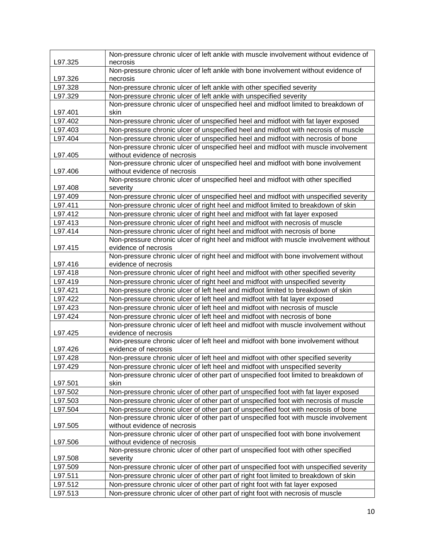| Non-pressure chronic ulcer of left ankle with muscle involvement without evidence of                                          |  |
|-------------------------------------------------------------------------------------------------------------------------------|--|
| L97.325<br>necrosis                                                                                                           |  |
| Non-pressure chronic ulcer of left ankle with bone involvement without evidence of<br>L97.326<br>necrosis                     |  |
| L97.328<br>Non-pressure chronic ulcer of left ankle with other specified severity                                             |  |
| L97.329<br>Non-pressure chronic ulcer of left ankle with unspecified severity                                                 |  |
| Non-pressure chronic ulcer of unspecified heel and midfoot limited to breakdown of                                            |  |
| L97.401<br>skin                                                                                                               |  |
| L97.402<br>Non-pressure chronic ulcer of unspecified heel and midfoot with fat layer exposed                                  |  |
| L97.403<br>Non-pressure chronic ulcer of unspecified heel and midfoot with necrosis of muscle                                 |  |
| L97.404<br>Non-pressure chronic ulcer of unspecified heel and midfoot with necrosis of bone                                   |  |
| Non-pressure chronic ulcer of unspecified heel and midfoot with muscle involvement<br>without evidence of necrosis<br>L97.405 |  |
| Non-pressure chronic ulcer of unspecified heel and midfoot with bone involvement                                              |  |
| without evidence of necrosis<br>L97.406                                                                                       |  |
| Non-pressure chronic ulcer of unspecified heel and midfoot with other specified                                               |  |
| L97.408<br>severity                                                                                                           |  |
| Non-pressure chronic ulcer of unspecified heel and midfoot with unspecified severity<br>L97.409                               |  |
| Non-pressure chronic ulcer of right heel and midfoot limited to breakdown of skin<br>L97.411                                  |  |
| L97.412<br>Non-pressure chronic ulcer of right heel and midfoot with fat layer exposed                                        |  |
| Non-pressure chronic ulcer of right heel and midfoot with necrosis of muscle<br>L97.413                                       |  |
| L97.414<br>Non-pressure chronic ulcer of right heel and midfoot with necrosis of bone                                         |  |
| Non-pressure chronic ulcer of right heel and midfoot with muscle involvement without<br>L97.415<br>evidence of necrosis       |  |
| Non-pressure chronic ulcer of right heel and midfoot with bone involvement without                                            |  |
| evidence of necrosis<br>L97.416                                                                                               |  |
| L97.418<br>Non-pressure chronic ulcer of right heel and midfoot with other specified severity                                 |  |
| L97.419<br>Non-pressure chronic ulcer of right heel and midfoot with unspecified severity                                     |  |
| L97.421<br>Non-pressure chronic ulcer of left heel and midfoot limited to breakdown of skin                                   |  |
| L97.422<br>Non-pressure chronic ulcer of left heel and midfoot with fat layer exposed                                         |  |
| L97.423<br>Non-pressure chronic ulcer of left heel and midfoot with necrosis of muscle                                        |  |
| L97.424<br>Non-pressure chronic ulcer of left heel and midfoot with necrosis of bone                                          |  |
| Non-pressure chronic ulcer of left heel and midfoot with muscle involvement without                                           |  |
| L97.425<br>evidence of necrosis                                                                                               |  |
| Non-pressure chronic ulcer of left heel and midfoot with bone involvement without                                             |  |
| L97.426<br>evidence of necrosis                                                                                               |  |
| Non-pressure chronic ulcer of left heel and midfoot with other specified severity<br>L97.428                                  |  |
| L97.429<br>Non-pressure chronic ulcer of left heel and midfoot with unspecified severity                                      |  |
| Non-pressure chronic ulcer of other part of unspecified foot limited to breakdown of<br>L97.501<br>skin                       |  |
| L97.502<br>Non-pressure chronic ulcer of other part of unspecified foot with fat layer exposed                                |  |
| L97.503<br>Non-pressure chronic ulcer of other part of unspecified foot with necrosis of muscle                               |  |
| L97.504<br>Non-pressure chronic ulcer of other part of unspecified foot with necrosis of bone                                 |  |
| Non-pressure chronic ulcer of other part of unspecified foot with muscle involvement                                          |  |
| without evidence of necrosis<br>L97.505                                                                                       |  |
| Non-pressure chronic ulcer of other part of unspecified foot with bone involvement                                            |  |
| without evidence of necrosis<br>L97.506                                                                                       |  |
| Non-pressure chronic ulcer of other part of unspecified foot with other specified<br>L97.508<br>severity                      |  |
| L97.509<br>Non-pressure chronic ulcer of other part of unspecified foot with unspecified severity                             |  |
| L97.511<br>Non-pressure chronic ulcer of other part of right foot limited to breakdown of skin                                |  |
| L97.512<br>Non-pressure chronic ulcer of other part of right foot with fat layer exposed                                      |  |
| L97.513<br>Non-pressure chronic ulcer of other part of right foot with necrosis of muscle                                     |  |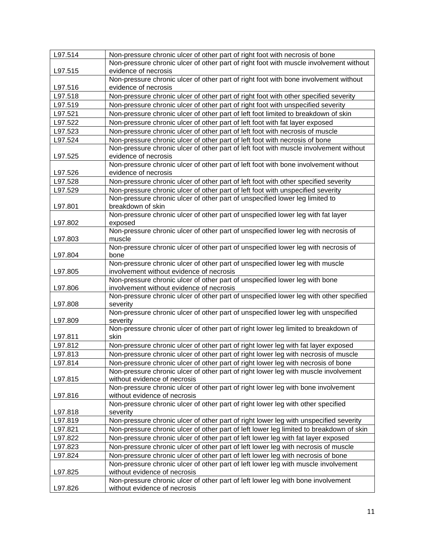| L97.514            | Non-pressure chronic ulcer of other part of right foot with necrosis of bone                                       |
|--------------------|--------------------------------------------------------------------------------------------------------------------|
|                    | Non-pressure chronic ulcer of other part of right foot with muscle involvement without                             |
| L97.515            | evidence of necrosis                                                                                               |
|                    | Non-pressure chronic ulcer of other part of right foot with bone involvement without                               |
| L97.516            | evidence of necrosis                                                                                               |
| L97.518            | Non-pressure chronic ulcer of other part of right foot with other specified severity                               |
| L97.519            | Non-pressure chronic ulcer of other part of right foot with unspecified severity                                   |
| L97.521            | Non-pressure chronic ulcer of other part of left foot limited to breakdown of skin                                 |
| L97.522            | Non-pressure chronic ulcer of other part of left foot with fat layer exposed                                       |
| L97.523            | Non-pressure chronic ulcer of other part of left foot with necrosis of muscle                                      |
| L97.524            | Non-pressure chronic ulcer of other part of left foot with necrosis of bone                                        |
|                    | Non-pressure chronic ulcer of other part of left foot with muscle involvement without                              |
| L97.525            | evidence of necrosis                                                                                               |
|                    | Non-pressure chronic ulcer of other part of left foot with bone involvement without                                |
| L97.526            | evidence of necrosis                                                                                               |
| L97.528            | Non-pressure chronic ulcer of other part of left foot with other specified severity                                |
| L97.529            | Non-pressure chronic ulcer of other part of left foot with unspecified severity                                    |
|                    | Non-pressure chronic ulcer of other part of unspecified lower leg limited to                                       |
| L97.801            | breakdown of skin                                                                                                  |
|                    | Non-pressure chronic ulcer of other part of unspecified lower leg with fat layer                                   |
| L97.802            | exposed                                                                                                            |
|                    | Non-pressure chronic ulcer of other part of unspecified lower leg with necrosis of                                 |
| L97.803            | muscle                                                                                                             |
|                    | Non-pressure chronic ulcer of other part of unspecified lower leg with necrosis of                                 |
| L97.804            | bone<br>Non-pressure chronic ulcer of other part of unspecified lower leg with muscle                              |
| L97.805            | involvement without evidence of necrosis                                                                           |
|                    | Non-pressure chronic ulcer of other part of unspecified lower leg with bone                                        |
| L97.806            | involvement without evidence of necrosis                                                                           |
|                    | Non-pressure chronic ulcer of other part of unspecified lower leg with other specified                             |
| L97.808            | severity                                                                                                           |
|                    | Non-pressure chronic ulcer of other part of unspecified lower leg with unspecified                                 |
| L97.809            | severity                                                                                                           |
|                    | Non-pressure chronic ulcer of other part of right lower leg limited to breakdown of                                |
| L97.811            | skin                                                                                                               |
| L97.812            | Non-pressure chronic ulcer of other part of right lower leg with fat layer exposed                                 |
| L97.813            | Non-pressure chronic ulcer of other part of right lower leg with necrosis of muscle                                |
| L97.814            | Non-pressure chronic ulcer of other part of right lower leg with necrosis of bone                                  |
|                    | Non-pressure chronic ulcer of other part of right lower leg with muscle involvement                                |
| L97.815            | without evidence of necrosis                                                                                       |
|                    | Non-pressure chronic ulcer of other part of right lower leg with bone involvement                                  |
| L97.816            | without evidence of necrosis<br>Non-pressure chronic ulcer of other part of right lower leg with other specified   |
| L97.818            | severity                                                                                                           |
| L97.819            |                                                                                                                    |
| L97.821            | Non-pressure chronic ulcer of other part of right lower leg with unspecified severity                              |
|                    | Non-pressure chronic ulcer of other part of left lower leg limited to breakdown of skin                            |
| L97.822<br>L97.823 | Non-pressure chronic ulcer of other part of left lower leg with fat layer exposed                                  |
|                    | Non-pressure chronic ulcer of other part of left lower leg with necrosis of muscle                                 |
| L97.824            | Non-pressure chronic ulcer of other part of left lower leg with necrosis of bone                                   |
| L97.825            | Non-pressure chronic ulcer of other part of left lower leg with muscle involvement<br>without evidence of necrosis |
|                    | Non-pressure chronic ulcer of other part of left lower leg with bone involvement                                   |
| L97.826            | without evidence of necrosis                                                                                       |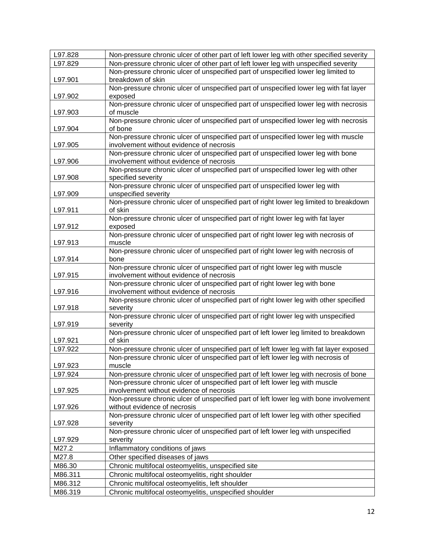| L97.828 | Non-pressure chronic ulcer of other part of left lower leg with other specified severity                                        |
|---------|---------------------------------------------------------------------------------------------------------------------------------|
| L97.829 | Non-pressure chronic ulcer of other part of left lower leg with unspecified severity                                            |
|         | Non-pressure chronic ulcer of unspecified part of unspecified lower leg limited to                                              |
| L97.901 | breakdown of skin                                                                                                               |
|         | Non-pressure chronic ulcer of unspecified part of unspecified lower leg with fat layer                                          |
| L97.902 | exposed                                                                                                                         |
|         | Non-pressure chronic ulcer of unspecified part of unspecified lower leg with necrosis                                           |
| L97.903 | of muscle                                                                                                                       |
|         | Non-pressure chronic ulcer of unspecified part of unspecified lower leg with necrosis                                           |
| L97.904 | of bone                                                                                                                         |
| L97.905 | Non-pressure chronic ulcer of unspecified part of unspecified lower leg with muscle<br>involvement without evidence of necrosis |
|         | Non-pressure chronic ulcer of unspecified part of unspecified lower leg with bone                                               |
| L97.906 | involvement without evidence of necrosis                                                                                        |
|         | Non-pressure chronic ulcer of unspecified part of unspecified lower leg with other                                              |
| L97.908 | specified severity                                                                                                              |
|         | Non-pressure chronic ulcer of unspecified part of unspecified lower leg with                                                    |
| L97.909 | unspecified severity                                                                                                            |
|         | Non-pressure chronic ulcer of unspecified part of right lower leg limited to breakdown                                          |
| L97.911 | of skin                                                                                                                         |
|         | Non-pressure chronic ulcer of unspecified part of right lower leg with fat layer                                                |
| L97.912 | exposed<br>Non-pressure chronic ulcer of unspecified part of right lower leg with necrosis of                                   |
| L97.913 | muscle                                                                                                                          |
|         | Non-pressure chronic ulcer of unspecified part of right lower leg with necrosis of                                              |
| L97.914 | bone                                                                                                                            |
|         | Non-pressure chronic ulcer of unspecified part of right lower leg with muscle                                                   |
| L97.915 | involvement without evidence of necrosis                                                                                        |
|         | Non-pressure chronic ulcer of unspecified part of right lower leg with bone                                                     |
| L97.916 | involvement without evidence of necrosis                                                                                        |
|         | Non-pressure chronic ulcer of unspecified part of right lower leg with other specified                                          |
| L97.918 | severity<br>Non-pressure chronic ulcer of unspecified part of right lower leg with unspecified                                  |
| L97.919 | severity                                                                                                                        |
|         | Non-pressure chronic ulcer of unspecified part of left lower leg limited to breakdown                                           |
| L97.921 | of skin                                                                                                                         |
| L97.922 | Non-pressure chronic ulcer of unspecified part of left lower leg with fat layer exposed                                         |
|         | Non-pressure chronic ulcer of unspecified part of left lower leg with necrosis of                                               |
| L97.923 | muscle                                                                                                                          |
| L97.924 | Non-pressure chronic ulcer of unspecified part of left lower leg with necrosis of bone                                          |
|         | Non-pressure chronic ulcer of unspecified part of left lower leg with muscle                                                    |
| L97.925 | involvement without evidence of necrosis                                                                                        |
|         | Non-pressure chronic ulcer of unspecified part of left lower leg with bone involvement<br>without evidence of necrosis          |
| L97.926 | Non-pressure chronic ulcer of unspecified part of left lower leg with other specified                                           |
| L97.928 | severity                                                                                                                        |
|         | Non-pressure chronic ulcer of unspecified part of left lower leg with unspecified                                               |
| L97.929 | severity                                                                                                                        |
| M27.2   | Inflammatory conditions of jaws                                                                                                 |
| M27.8   | Other specified diseases of jaws                                                                                                |
| M86.30  | Chronic multifocal osteomyelitis, unspecified site                                                                              |
| M86.311 | Chronic multifocal osteomyelitis, right shoulder                                                                                |
| M86.312 | Chronic multifocal osteomyelitis, left shoulder                                                                                 |
| M86.319 | Chronic multifocal osteomyelitis, unspecified shoulder                                                                          |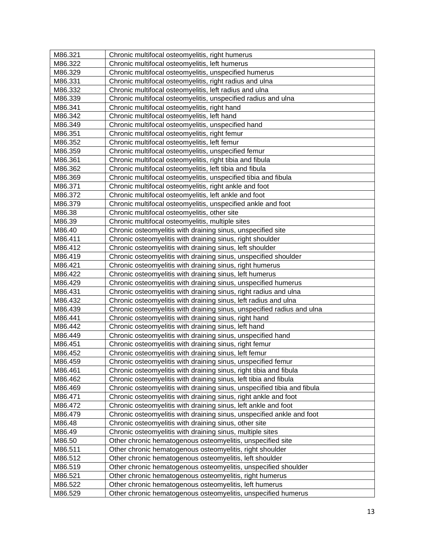| M86.321           | Chronic multifocal osteomyelitis, right humerus                         |
|-------------------|-------------------------------------------------------------------------|
| M86.322           | Chronic multifocal osteomyelitis, left humerus                          |
| M86.329           | Chronic multifocal osteomyelitis, unspecified humerus                   |
| M86.331           | Chronic multifocal osteomyelitis, right radius and ulna                 |
| M86.332           | Chronic multifocal osteomyelitis, left radius and ulna                  |
| M86.339           | Chronic multifocal osteomyelitis, unspecified radius and ulna           |
| M86.341           | Chronic multifocal osteomyelitis, right hand                            |
| M86.342           | Chronic multifocal osteomyelitis, left hand                             |
| M86.349           | Chronic multifocal osteomyelitis, unspecified hand                      |
| M86.351           | Chronic multifocal osteomyelitis, right femur                           |
| M86.352           | Chronic multifocal osteomyelitis, left femur                            |
| M86.359           | Chronic multifocal osteomyelitis, unspecified femur                     |
| M86.361           | Chronic multifocal osteomyelitis, right tibia and fibula                |
| M86.362           | Chronic multifocal osteomyelitis, left tibia and fibula                 |
| M86.369           | Chronic multifocal osteomyelitis, unspecified tibia and fibula          |
| M86.371           | Chronic multifocal osteomyelitis, right ankle and foot                  |
| M86.372           | Chronic multifocal osteomyelitis, left ankle and foot                   |
| M86.379           | Chronic multifocal osteomyelitis, unspecified ankle and foot            |
| M86.38            | Chronic multifocal osteomyelitis, other site                            |
| M86.39            | Chronic multifocal osteomyelitis, multiple sites                        |
| M86.40            | Chronic osteomyelitis with draining sinus, unspecified site             |
| M86.411           | Chronic osteomyelitis with draining sinus, right shoulder               |
| M86.412           | Chronic osteomyelitis with draining sinus, left shoulder                |
| M86.419           | Chronic osteomyelitis with draining sinus, unspecified shoulder         |
| M86.421           | Chronic osteomyelitis with draining sinus, right humerus                |
| M86.422           | Chronic osteomyelitis with draining sinus, left humerus                 |
| M86.429           | Chronic osteomyelitis with draining sinus, unspecified humerus          |
| M86.431           | Chronic osteomyelitis with draining sinus, right radius and ulna        |
| M86.432           | Chronic osteomyelitis with draining sinus, left radius and ulna         |
| M86.439           | Chronic osteomyelitis with draining sinus, unspecified radius and ulna  |
| M86.441           | Chronic osteomyelitis with draining sinus, right hand                   |
| M86.442           | Chronic osteomyelitis with draining sinus, left hand                    |
| M86.449           | Chronic osteomyelitis with draining sinus, unspecified hand             |
| M86.451           | Chronic osteomyelitis with draining sinus, right femur                  |
| M86.452           | Chronic osteomyelitis with draining sinus, left femur                   |
| M86.459           | Chronic osteomyelitis with draining sinus, unspecified femur            |
| M86.461           | Chronic osteomyelitis with draining sinus, right tibia and fibula       |
| M86.462           | Chronic osteomyelitis with draining sinus, left tibia and fibula        |
| M86.469           | Chronic osteomyelitis with draining sinus, unspecified tibia and fibula |
| M86.471           | Chronic osteomyelitis with draining sinus, right ankle and foot         |
| M86.472           | Chronic osteomyelitis with draining sinus, left ankle and foot          |
| M86.479           | Chronic osteomyelitis with draining sinus, unspecified ankle and foot   |
| M86.48            | Chronic osteomyelitis with draining sinus, other site                   |
|                   |                                                                         |
| M86.49            | Chronic osteomyelitis with draining sinus, multiple sites               |
| M86.50<br>M86.511 | Other chronic hematogenous osteomyelitis, unspecified site              |
|                   | Other chronic hematogenous osteomyelitis, right shoulder                |
| M86.512           | Other chronic hematogenous osteomyelitis, left shoulder                 |
| M86.519           | Other chronic hematogenous osteomyelitis, unspecified shoulder          |
| M86.521           | Other chronic hematogenous osteomyelitis, right humerus                 |
| M86.522           | Other chronic hematogenous osteomyelitis, left humerus                  |
| M86.529           | Other chronic hematogenous osteomyelitis, unspecified humerus           |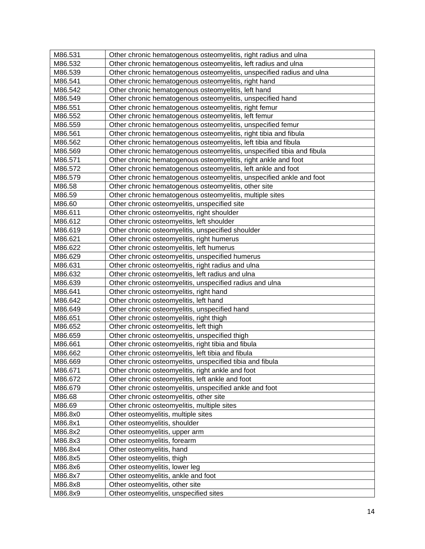| M86.531 | Other chronic hematogenous osteomyelitis, right radius and ulna        |
|---------|------------------------------------------------------------------------|
| M86.532 | Other chronic hematogenous osteomyelitis, left radius and ulna         |
| M86.539 | Other chronic hematogenous osteomyelitis, unspecified radius and ulna  |
| M86.541 | Other chronic hematogenous osteomyelitis, right hand                   |
| M86.542 | Other chronic hematogenous osteomyelitis, left hand                    |
| M86.549 | Other chronic hematogenous osteomyelitis, unspecified hand             |
| M86.551 | Other chronic hematogenous osteomyelitis, right femur                  |
| M86.552 | Other chronic hematogenous osteomyelitis, left femur                   |
| M86.559 | Other chronic hematogenous osteomyelitis, unspecified femur            |
| M86.561 | Other chronic hematogenous osteomyelitis, right tibia and fibula       |
| M86.562 | Other chronic hematogenous osteomyelitis, left tibia and fibula        |
| M86.569 | Other chronic hematogenous osteomyelitis, unspecified tibia and fibula |
| M86.571 | Other chronic hematogenous osteomyelitis, right ankle and foot         |
| M86.572 | Other chronic hematogenous osteomyelitis, left ankle and foot          |
| M86.579 | Other chronic hematogenous osteomyelitis, unspecified ankle and foot   |
| M86.58  | Other chronic hematogenous osteomyelitis, other site                   |
| M86.59  | Other chronic hematogenous osteomyelitis, multiple sites               |
| M86.60  | Other chronic osteomyelitis, unspecified site                          |
| M86.611 | Other chronic osteomyelitis, right shoulder                            |
| M86.612 | Other chronic osteomyelitis, left shoulder                             |
| M86.619 | Other chronic osteomyelitis, unspecified shoulder                      |
| M86.621 | Other chronic osteomyelitis, right humerus                             |
| M86.622 | Other chronic osteomyelitis, left humerus                              |
| M86.629 | Other chronic osteomyelitis, unspecified humerus                       |
| M86.631 | Other chronic osteomyelitis, right radius and ulna                     |
| M86.632 | Other chronic osteomyelitis, left radius and ulna                      |
| M86.639 | Other chronic osteomyelitis, unspecified radius and ulna               |
| M86.641 | Other chronic osteomyelitis, right hand                                |
| M86.642 | Other chronic osteomyelitis, left hand                                 |
| M86.649 | Other chronic osteomyelitis, unspecified hand                          |
| M86.651 | Other chronic osteomyelitis, right thigh                               |
| M86.652 | Other chronic osteomyelitis, left thigh                                |
| M86.659 | Other chronic osteomyelitis, unspecified thigh                         |
| M86.661 | Other chronic osteomyelitis, right tibia and fibula                    |
| M86.662 | Other chronic osteomyelitis, left tibia and fibula                     |
| M86.669 | Other chronic osteomyelitis, unspecified tibia and fibula              |
| M86.671 | Other chronic osteomyelitis, right ankle and foot                      |
| M86.672 | Other chronic osteomyelitis, left ankle and foot                       |
| M86.679 | Other chronic osteomyelitis, unspecified ankle and foot                |
| M86.68  | Other chronic osteomyelitis, other site                                |
| M86.69  | Other chronic osteomyelitis, multiple sites                            |
| M86.8x0 | Other osteomyelitis, multiple sites                                    |
| M86.8x1 | Other osteomyelitis, shoulder                                          |
| M86.8x2 | Other osteomyelitis, upper arm                                         |
| M86.8x3 | Other osteomyelitis, forearm                                           |
| M86.8x4 | Other osteomyelitis, hand                                              |
| M86.8x5 | Other osteomyelitis, thigh                                             |
| M86.8x6 | Other osteomyelitis, lower leg                                         |
| M86.8x7 | Other osteomyelitis, ankle and foot                                    |
| M86.8x8 | Other osteomyelitis, other site                                        |
| M86.8x9 | Other osteomyelitis, unspecified sites                                 |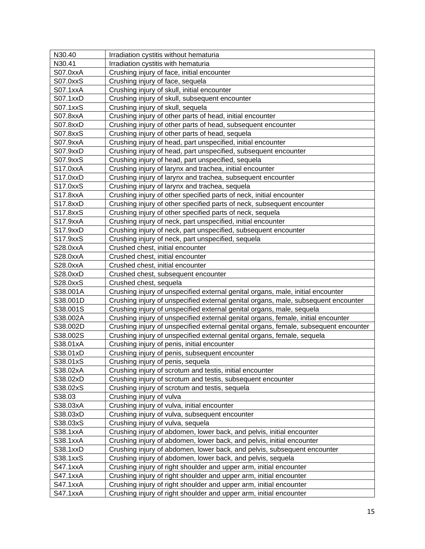| N30.40          | Irradiation cystitis without hematuria                                               |
|-----------------|--------------------------------------------------------------------------------------|
| N30.41          | Irradiation cystitis with hematuria                                                  |
| S07.0xxA        | Crushing injury of face, initial encounter                                           |
| S07.0xxS        | Crushing injury of face, sequela                                                     |
| S07.1xxA        | Crushing injury of skull, initial encounter                                          |
| S07.1xxD        | Crushing injury of skull, subsequent encounter                                       |
| S07.1xxS        | Crushing injury of skull, sequela                                                    |
| S07.8xxA        | Crushing injury of other parts of head, initial encounter                            |
| S07.8xxD        | Crushing injury of other parts of head, subsequent encounter                         |
| S07.8xxS        | Crushing injury of other parts of head, sequela                                      |
| S07.9xxA        | Crushing injury of head, part unspecified, initial encounter                         |
| S07.9xxD        | Crushing injury of head, part unspecified, subsequent encounter                      |
| S07.9xxS        | Crushing injury of head, part unspecified, sequela                                   |
| S17.0xxA        | Crushing injury of larynx and trachea, initial encounter                             |
| S17.0xxD        | Crushing injury of larynx and trachea, subsequent encounter                          |
| S17.0xxS        | Crushing injury of larynx and trachea, sequela                                       |
| S17.8xxA        | Crushing injury of other specified parts of neck, initial encounter                  |
| S17.8xxD        | Crushing injury of other specified parts of neck, subsequent encounter               |
| S17.8xxS        | Crushing injury of other specified parts of neck, sequela                            |
| S17.9xxA        | Crushing injury of neck, part unspecified, initial encounter                         |
| S17.9xxD        | Crushing injury of neck, part unspecified, subsequent encounter                      |
| S17.9xxS        | Crushing injury of neck, part unspecified, sequela                                   |
| S28.0xxA        | Crushed chest, initial encounter                                                     |
| S28.0xxA        | Crushed chest, initial encounter                                                     |
| S28.0xxA        | Crushed chest, initial encounter                                                     |
| S28.0xxD        | Crushed chest, subsequent encounter                                                  |
| S28.0xxS        | Crushed chest, sequela                                                               |
| S38.001A        | Crushing injury of unspecified external genital organs, male, initial encounter      |
| S38.001D        | Crushing injury of unspecified external genital organs, male, subsequent encounter   |
| S38.001S        | Crushing injury of unspecified external genital organs, male, sequela                |
| S38.002A        | Crushing injury of unspecified external genital organs, female, initial encounter    |
| S38.002D        | Crushing injury of unspecified external genital organs, female, subsequent encounter |
| S38.002S        | Crushing injury of unspecified external genital organs, female, sequela              |
| S38.01xA        | Crushing injury of penis, initial encounter                                          |
| S38.01xD        | Crushing injury of penis, subsequent encounter                                       |
| S38.01xS        | Crushing injury of penis, sequela                                                    |
| S38.02xA        | Crushing injury of scrotum and testis, initial encounter                             |
| S38.02xD        | Crushing injury of scrotum and testis, subsequent encounter                          |
| S38.02xS        | Crushing injury of scrotum and testis, sequela                                       |
| S38.03          | Crushing injury of vulva                                                             |
| S38.03xA        | Crushing injury of vulva, initial encounter                                          |
| S38.03xD        | Crushing injury of vulva, subsequent encounter                                       |
| S38.03xS        | Crushing injury of vulva, sequela                                                    |
| S38.1xxA        | Crushing injury of abdomen, lower back, and pelvis, initial encounter                |
| S38.1xxA        | Crushing injury of abdomen, lower back, and pelvis, initial encounter                |
| S38.1xxD        | Crushing injury of abdomen, lower back, and pelvis, subsequent encounter             |
| S38.1xxS        | Crushing injury of abdomen, lower back, and pelvis, sequela                          |
| S47.1xxA        | Crushing injury of right shoulder and upper arm, initial encounter                   |
| <b>S47.1xxA</b> | Crushing injury of right shoulder and upper arm, initial encounter                   |
| <b>S47.1xxA</b> | Crushing injury of right shoulder and upper arm, initial encounter                   |
| <b>S47.1xxA</b> | Crushing injury of right shoulder and upper arm, initial encounter                   |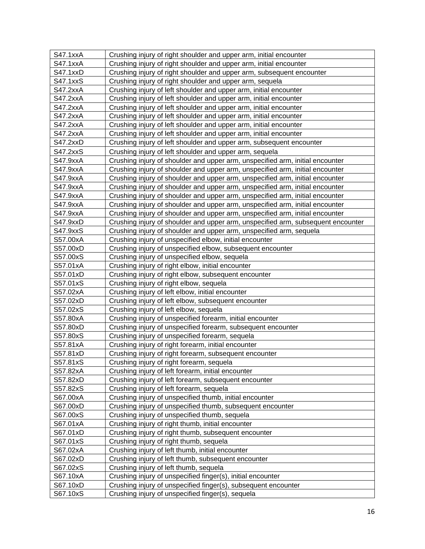| <b>S47.1xxA</b> | Crushing injury of right shoulder and upper arm, initial encounter               |
|-----------------|----------------------------------------------------------------------------------|
| <b>S47.1xxA</b> | Crushing injury of right shoulder and upper arm, initial encounter               |
| <b>S47.1xxD</b> | Crushing injury of right shoulder and upper arm, subsequent encounter            |
| S47.1xxS        | Crushing injury of right shoulder and upper arm, sequela                         |
| <b>S47.2xxA</b> | Crushing injury of left shoulder and upper arm, initial encounter                |
| <b>S47.2xxA</b> | Crushing injury of left shoulder and upper arm, initial encounter                |
| <b>S47.2xxA</b> | Crushing injury of left shoulder and upper arm, initial encounter                |
| S47.2xxA        | Crushing injury of left shoulder and upper arm, initial encounter                |
| <b>S47.2xxA</b> | Crushing injury of left shoulder and upper arm, initial encounter                |
| S47.2xxA        | Crushing injury of left shoulder and upper arm, initial encounter                |
| S47.2xxD        | Crushing injury of left shoulder and upper arm, subsequent encounter             |
| <b>S47.2xxS</b> | Crushing injury of left shoulder and upper arm, sequela                          |
| S47.9xxA        | Crushing injury of shoulder and upper arm, unspecified arm, initial encounter    |
| S47.9xxA        | Crushing injury of shoulder and upper arm, unspecified arm, initial encounter    |
| S47.9xxA        | Crushing injury of shoulder and upper arm, unspecified arm, initial encounter    |
| S47.9xxA        | Crushing injury of shoulder and upper arm, unspecified arm, initial encounter    |
| S47.9xxA        | Crushing injury of shoulder and upper arm, unspecified arm, initial encounter    |
| S47.9xxA        | Crushing injury of shoulder and upper arm, unspecified arm, initial encounter    |
| S47.9xxA        | Crushing injury of shoulder and upper arm, unspecified arm, initial encounter    |
| S47.9xxD        | Crushing injury of shoulder and upper arm, unspecified arm, subsequent encounter |
| S47.9xxS        | Crushing injury of shoulder and upper arm, unspecified arm, sequela              |
| S57.00xA        | Crushing injury of unspecified elbow, initial encounter                          |
| S57.00xD        | Crushing injury of unspecified elbow, subsequent encounter                       |
| S57.00xS        | Crushing injury of unspecified elbow, sequela                                    |
| S57.01xA        | Crushing injury of right elbow, initial encounter                                |
| S57.01xD        | Crushing injury of right elbow, subsequent encounter                             |
| S57.01xS        | Crushing injury of right elbow, sequela                                          |
| S57.02xA        | Crushing injury of left elbow, initial encounter                                 |
| S57.02xD        | Crushing injury of left elbow, subsequent encounter                              |
| S57.02xS        | Crushing injury of left elbow, sequela                                           |
| S57.80xA        | Crushing injury of unspecified forearm, initial encounter                        |
| S57.80xD        | Crushing injury of unspecified forearm, subsequent encounter                     |
| S57.80xS        | Crushing injury of unspecified forearm, sequela                                  |
| S57.81xA        | Crushing injury of right forearm, initial encounter                              |
| S57.81xD        | Crushing injury of right forearm, subsequent encounter                           |
| S57.81xS        | Crushing injury of right forearm, sequela                                        |
| S57.82xA        | Crushing injury of left forearm, initial encounter                               |
| S57.82xD        | Crushing injury of left forearm, subsequent encounter                            |
| S57.82xS        | Crushing injury of left forearm, sequela                                         |
| S67.00xA        | Crushing injury of unspecified thumb, initial encounter                          |
| S67.00xD        | Crushing injury of unspecified thumb, subsequent encounter                       |
| S67.00xS        | Crushing injury of unspecified thumb, sequela                                    |
| S67.01xA        | Crushing injury of right thumb, initial encounter                                |
| S67.01xD        | Crushing injury of right thumb, subsequent encounter                             |
| S67.01xS        | Crushing injury of right thumb, sequela                                          |
| S67.02xA        | Crushing injury of left thumb, initial encounter                                 |
| S67.02xD        | Crushing injury of left thumb, subsequent encounter                              |
| S67.02xS        | Crushing injury of left thumb, sequela                                           |
| S67.10xA        | Crushing injury of unspecified finger(s), initial encounter                      |
| S67.10xD        | Crushing injury of unspecified finger(s), subsequent encounter                   |
| S67.10xS        | Crushing injury of unspecified finger(s), sequela                                |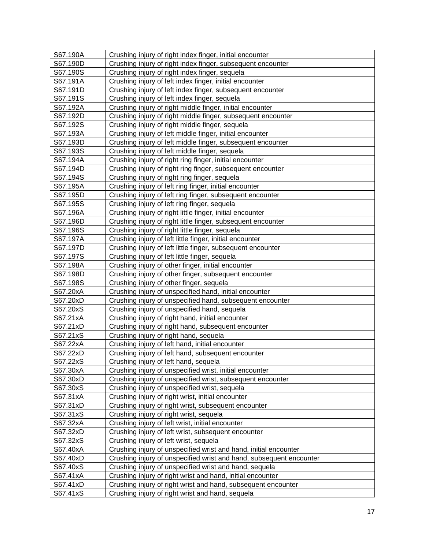| S67.190A | Crushing injury of right index finger, initial encounter            |
|----------|---------------------------------------------------------------------|
| S67.190D | Crushing injury of right index finger, subsequent encounter         |
| S67.190S | Crushing injury of right index finger, sequela                      |
| S67.191A | Crushing injury of left index finger, initial encounter             |
| S67.191D | Crushing injury of left index finger, subsequent encounter          |
| S67.191S | Crushing injury of left index finger, sequela                       |
| S67.192A | Crushing injury of right middle finger, initial encounter           |
| S67.192D | Crushing injury of right middle finger, subsequent encounter        |
| S67.192S | Crushing injury of right middle finger, sequela                     |
| S67.193A | Crushing injury of left middle finger, initial encounter            |
| S67.193D | Crushing injury of left middle finger, subsequent encounter         |
| S67.193S | Crushing injury of left middle finger, sequela                      |
| S67.194A | Crushing injury of right ring finger, initial encounter             |
| S67.194D | Crushing injury of right ring finger, subsequent encounter          |
| S67.194S | Crushing injury of right ring finger, sequela                       |
| S67.195A | Crushing injury of left ring finger, initial encounter              |
| S67.195D | Crushing injury of left ring finger, subsequent encounter           |
| S67.195S | Crushing injury of left ring finger, sequela                        |
| S67.196A | Crushing injury of right little finger, initial encounter           |
| S67.196D | Crushing injury of right little finger, subsequent encounter        |
| S67.196S | Crushing injury of right little finger, sequela                     |
| S67.197A | Crushing injury of left little finger, initial encounter            |
| S67.197D | Crushing injury of left little finger, subsequent encounter         |
| S67.197S | Crushing injury of left little finger, sequela                      |
| S67.198A | Crushing injury of other finger, initial encounter                  |
| S67.198D | Crushing injury of other finger, subsequent encounter               |
| S67.198S | Crushing injury of other finger, sequela                            |
| S67.20xA | Crushing injury of unspecified hand, initial encounter              |
| S67.20xD | Crushing injury of unspecified hand, subsequent encounter           |
| S67.20xS | Crushing injury of unspecified hand, sequela                        |
| S67.21xA | Crushing injury of right hand, initial encounter                    |
| S67.21xD | Crushing injury of right hand, subsequent encounter                 |
| S67.21xS | Crushing injury of right hand, sequela                              |
| S67.22xA | Crushing injury of left hand, initial encounter                     |
| S67.22xD | Crushing injury of left hand, subsequent encounter                  |
| S67.22xS | Crushing injury of left hand, sequela                               |
| S67.30xA | Crushing injury of unspecified wrist, initial encounter             |
| S67.30xD | Crushing injury of unspecified wrist, subsequent encounter          |
| S67.30xS | Crushing injury of unspecified wrist, sequela                       |
| S67.31xA | Crushing injury of right wrist, initial encounter                   |
| S67.31xD | Crushing injury of right wrist, subsequent encounter                |
| S67.31xS | Crushing injury of right wrist, sequela                             |
| S67.32xA | Crushing injury of left wrist, initial encounter                    |
| S67.32xD | Crushing injury of left wrist, subsequent encounter                 |
| S67.32xS | Crushing injury of left wrist, sequela                              |
| S67.40xA | Crushing injury of unspecified wrist and hand, initial encounter    |
| S67.40xD | Crushing injury of unspecified wrist and hand, subsequent encounter |
| S67.40xS | Crushing injury of unspecified wrist and hand, sequela              |
| S67.41xA | Crushing injury of right wrist and hand, initial encounter          |
| S67.41xD | Crushing injury of right wrist and hand, subsequent encounter       |
| S67.41xS | Crushing injury of right wrist and hand, sequela                    |
|          |                                                                     |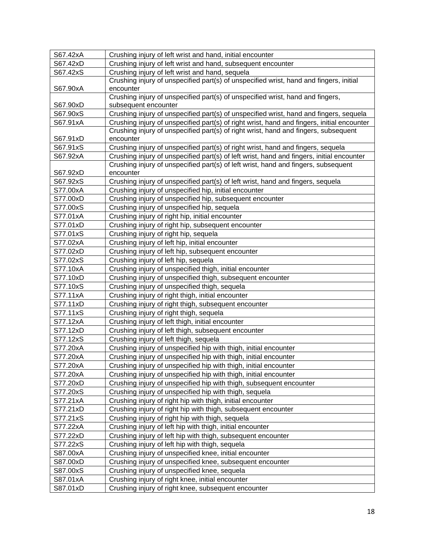| S67.42xA | Crushing injury of left wrist and hand, initial encounter                                  |
|----------|--------------------------------------------------------------------------------------------|
| S67.42xD | Crushing injury of left wrist and hand, subsequent encounter                               |
| S67.42xS | Crushing injury of left wrist and hand, sequela                                            |
|          | Crushing injury of unspecified part(s) of unspecified wrist, hand and fingers, initial     |
| S67.90xA | encounter                                                                                  |
|          | Crushing injury of unspecified part(s) of unspecified wrist, hand and fingers,             |
| S67.90xD | subsequent encounter                                                                       |
| S67.90xS | Crushing injury of unspecified part(s) of unspecified wrist, hand and fingers, sequela     |
| S67.91xA | Crushing injury of unspecified part(s) of right wrist, hand and fingers, initial encounter |
|          | Crushing injury of unspecified part(s) of right wrist, hand and fingers, subsequent        |
| S67.91xD | encounter                                                                                  |
| S67.91xS | Crushing injury of unspecified part(s) of right wrist, hand and fingers, sequela           |
| S67.92xA | Crushing injury of unspecified part(s) of left wrist, hand and fingers, initial encounter  |
|          | Crushing injury of unspecified part(s) of left wrist, hand and fingers, subsequent         |
| S67.92xD | encounter                                                                                  |
| S67.92xS | Crushing injury of unspecified part(s) of left wrist, hand and fingers, sequela            |
| S77.00xA | Crushing injury of unspecified hip, initial encounter                                      |
| S77.00xD | Crushing injury of unspecified hip, subsequent encounter                                   |
| S77.00xS | Crushing injury of unspecified hip, sequela                                                |
| S77.01xA | Crushing injury of right hip, initial encounter                                            |
| S77.01xD | Crushing injury of right hip, subsequent encounter                                         |
| S77.01xS | Crushing injury of right hip, sequela                                                      |
| S77.02xA | Crushing injury of left hip, initial encounter                                             |
| S77.02xD | Crushing injury of left hip, subsequent encounter                                          |
| S77.02xS | Crushing injury of left hip, sequela                                                       |
| S77.10xA | Crushing injury of unspecified thigh, initial encounter                                    |
| S77.10xD | Crushing injury of unspecified thigh, subsequent encounter                                 |
| S77.10xS | Crushing injury of unspecified thigh, sequela                                              |
| S77.11xA | Crushing injury of right thigh, initial encounter                                          |
| S77.11xD | Crushing injury of right thigh, subsequent encounter                                       |
| S77.11xS | Crushing injury of right thigh, sequela                                                    |
| S77.12xA | Crushing injury of left thigh, initial encounter                                           |
| S77.12xD | Crushing injury of left thigh, subsequent encounter                                        |
| S77.12xS | Crushing injury of left thigh, sequela                                                     |
| S77.20xA | Crushing injury of unspecified hip with thigh, initial encounter                           |
| S77.20xA | Crushing injury of unspecified hip with thigh, initial encounter                           |
| S77.20xA | Crushing injury of unspecified hip with thigh, initial encounter                           |
| S77.20xA | Crushing injury of unspecified hip with thigh, initial encounter                           |
| S77.20xD | Crushing injury of unspecified hip with thigh, subsequent encounter                        |
| S77.20xS | Crushing injury of unspecified hip with thigh, sequela                                     |
| S77.21xA | Crushing injury of right hip with thigh, initial encounter                                 |
| S77.21xD | Crushing injury of right hip with thigh, subsequent encounter                              |
| S77.21xS | Crushing injury of right hip with thigh, sequela                                           |
| S77.22xA | Crushing injury of left hip with thigh, initial encounter                                  |
| S77.22xD | Crushing injury of left hip with thigh, subsequent encounter                               |
| S77.22xS | Crushing injury of left hip with thigh, sequela                                            |
| S87.00xA | Crushing injury of unspecified knee, initial encounter                                     |
| S87.00xD | Crushing injury of unspecified knee, subsequent encounter                                  |
| S87.00xS | Crushing injury of unspecified knee, sequela                                               |
| S87.01xA |                                                                                            |
|          | Crushing injury of right knee, initial encounter                                           |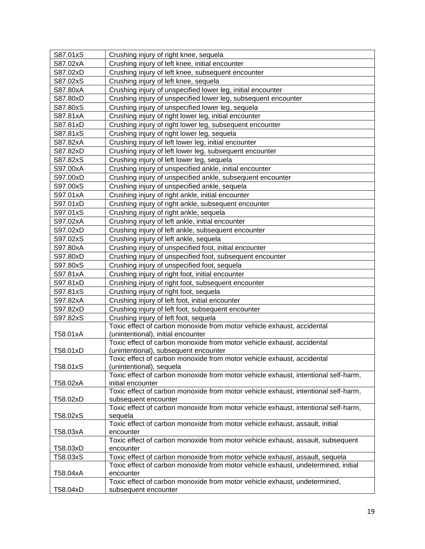| S87.01xS | Crushing injury of right knee, sequela                                                                  |
|----------|---------------------------------------------------------------------------------------------------------|
| S87.02xA | Crushing injury of left knee, initial encounter                                                         |
| S87.02xD | Crushing injury of left knee, subsequent encounter                                                      |
| S87.02xS | Crushing injury of left knee, sequela                                                                   |
| S87.80xA | Crushing injury of unspecified lower leg, initial encounter                                             |
| S87.80xD | Crushing injury of unspecified lower leg, subsequent encounter                                          |
| S87.80xS | Crushing injury of unspecified lower leg, sequela                                                       |
| S87.81xA | Crushing injury of right lower leg, initial encounter                                                   |
| S87.81xD | Crushing injury of right lower leg, subsequent encounter                                                |
| S87.81xS | Crushing injury of right lower leg, sequela                                                             |
| S87.82xA | Crushing injury of left lower leg, initial encounter                                                    |
| S87.82xD | Crushing injury of left lower leg, subsequent encounter                                                 |
| S87.82xS | Crushing injury of left lower leg, sequela                                                              |
| S97.00xA | Crushing injury of unspecified ankle, initial encounter                                                 |
| S97.00xD | Crushing injury of unspecified ankle, subsequent encounter                                              |
| S97.00xS | Crushing injury of unspecified ankle, sequela                                                           |
| S97.01xA | Crushing injury of right ankle, initial encounter                                                       |
| S97.01xD | Crushing injury of right ankle, subsequent encounter                                                    |
| S97.01xS | Crushing injury of right ankle, sequela                                                                 |
| S97.02xA | Crushing injury of left ankle, initial encounter                                                        |
| S97.02xD | Crushing injury of left ankle, subsequent encounter                                                     |
| S97.02xS | Crushing injury of left ankle, sequela                                                                  |
| S97.80xA | Crushing injury of unspecified foot, initial encounter                                                  |
| S97.80xD | Crushing injury of unspecified foot, subsequent encounter                                               |
| S97.80xS | Crushing injury of unspecified foot, sequela                                                            |
| S97.81xA | Crushing injury of right foot, initial encounter                                                        |
| S97.81xD | Crushing injury of right foot, subsequent encounter                                                     |
| S97.81xS | Crushing injury of right foot, sequela                                                                  |
| S97.82xA | Crushing injury of left foot, initial encounter                                                         |
| S97.82xD | Crushing injury of left foot, subsequent encounter                                                      |
| S97.82xS | Crushing injury of left foot, sequela                                                                   |
|          | Toxic effect of carbon monoxide from motor vehicle exhaust, accidental                                  |
| T58.01xA | (unintentional), initial encounter                                                                      |
|          | Toxic effect of carbon monoxide from motor vehicle exhaust, accidental                                  |
| T58.01xD | (unintentional), subsequent encounter                                                                   |
|          | Toxic effect of carbon monoxide from motor vehicle exhaust, accidental                                  |
| T58.01xS | (unintentional), sequela                                                                                |
|          | Toxic effect of carbon monoxide from motor vehicle exhaust, intentional self-harm,                      |
| T58.02xA | initial encounter<br>Toxic effect of carbon monoxide from motor vehicle exhaust, intentional self-harm, |
| T58.02xD | subsequent encounter                                                                                    |
|          | Toxic effect of carbon monoxide from motor vehicle exhaust, intentional self-harm,                      |
| T58.02xS | sequela                                                                                                 |
|          | Toxic effect of carbon monoxide from motor vehicle exhaust, assault, initial                            |
| T58.03xA | encounter                                                                                               |
|          | Toxic effect of carbon monoxide from motor vehicle exhaust, assault, subsequent                         |
| T58.03xD | encounter                                                                                               |
| T58.03xS | Toxic effect of carbon monoxide from motor vehicle exhaust, assault, sequela                            |
|          | Toxic effect of carbon monoxide from motor vehicle exhaust, undetermined, initial                       |
| T58.04xA | encounter                                                                                               |
|          | Toxic effect of carbon monoxide from motor vehicle exhaust, undetermined,                               |
| T58.04xD | subsequent encounter                                                                                    |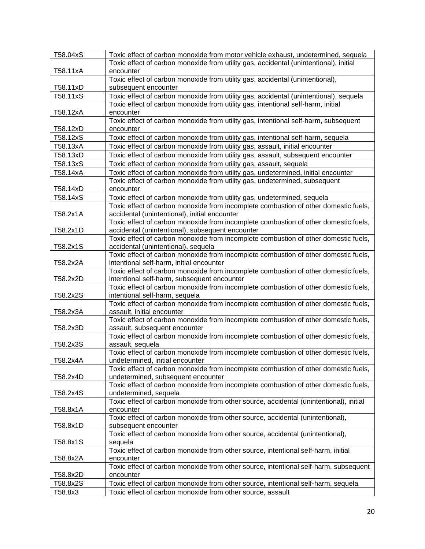| T58.04xS<br>Toxic effect of carbon monoxide from motor vehicle exhaust, undetermined, sequela<br>Toxic effect of carbon monoxide from utility gas, accidental (unintentional), initial |  |
|----------------------------------------------------------------------------------------------------------------------------------------------------------------------------------------|--|
|                                                                                                                                                                                        |  |
| T58.11xA<br>encounter                                                                                                                                                                  |  |
| Toxic effect of carbon monoxide from utility gas, accidental (unintentional),                                                                                                          |  |
| T58.11xD<br>subsequent encounter                                                                                                                                                       |  |
| T58.11xS<br>Toxic effect of carbon monoxide from utility gas, accidental (unintentional), sequela                                                                                      |  |
| Toxic effect of carbon monoxide from utility gas, intentional self-harm, initial                                                                                                       |  |
| T58.12xA<br>encounter                                                                                                                                                                  |  |
| Toxic effect of carbon monoxide from utility gas, intentional self-harm, subsequent                                                                                                    |  |
| T58.12xD<br>encounter                                                                                                                                                                  |  |
| T58.12xS<br>Toxic effect of carbon monoxide from utility gas, intentional self-harm, sequela                                                                                           |  |
| T58.13xA<br>Toxic effect of carbon monoxide from utility gas, assault, initial encounter                                                                                               |  |
| Toxic effect of carbon monoxide from utility gas, assault, subsequent encounter<br>T58.13xD                                                                                            |  |
| Toxic effect of carbon monoxide from utility gas, assault, sequela<br>T58.13xS                                                                                                         |  |
| Toxic effect of carbon monoxide from utility gas, undetermined, initial encounter<br>T58.14xA                                                                                          |  |
| Toxic effect of carbon monoxide from utility gas, undetermined, subsequent                                                                                                             |  |
| T58.14xD<br>encounter                                                                                                                                                                  |  |
| T58.14xS<br>Toxic effect of carbon monoxide from utility gas, undetermined, sequela                                                                                                    |  |
| Toxic effect of carbon monoxide from incomplete combustion of other domestic fuels,                                                                                                    |  |
| T58.2x1A<br>accidental (unintentional), initial encounter                                                                                                                              |  |
| Toxic effect of carbon monoxide from incomplete combustion of other domestic fuels,                                                                                                    |  |
| accidental (unintentional), subsequent encounter<br>T58.2x1D                                                                                                                           |  |
| Toxic effect of carbon monoxide from incomplete combustion of other domestic fuels,                                                                                                    |  |
| accidental (unintentional), sequela<br>T58.2x1S                                                                                                                                        |  |
| Toxic effect of carbon monoxide from incomplete combustion of other domestic fuels,                                                                                                    |  |
| intentional self-harm, initial encounter<br>T58.2x2A                                                                                                                                   |  |
| Toxic effect of carbon monoxide from incomplete combustion of other domestic fuels,<br>T58.2x2D                                                                                        |  |
| intentional self-harm, subsequent encounter<br>Toxic effect of carbon monoxide from incomplete combustion of other domestic fuels,                                                     |  |
| T58.2x2S<br>intentional self-harm, sequela                                                                                                                                             |  |
| Toxic effect of carbon monoxide from incomplete combustion of other domestic fuels,                                                                                                    |  |
| T58.2x3A<br>assault, initial encounter                                                                                                                                                 |  |
| Toxic effect of carbon monoxide from incomplete combustion of other domestic fuels,                                                                                                    |  |
| T58.2x3D<br>assault, subsequent encounter                                                                                                                                              |  |
| Toxic effect of carbon monoxide from incomplete combustion of other domestic fuels,                                                                                                    |  |
| T58.2x3S<br>assault, sequela                                                                                                                                                           |  |
| Toxic effect of carbon monoxide from incomplete combustion of other domestic fuels,                                                                                                    |  |
| T58.2x4A<br>undetermined, initial encounter                                                                                                                                            |  |
| Toxic effect of carbon monoxide from incomplete combustion of other domestic fuels,                                                                                                    |  |
| undetermined, subsequent encounter<br>T58.2x4D                                                                                                                                         |  |
| Toxic effect of carbon monoxide from incomplete combustion of other domestic fuels,                                                                                                    |  |
| undetermined, sequela<br>T58.2x4S                                                                                                                                                      |  |
| Toxic effect of carbon monoxide from other source, accidental (unintentional), initial                                                                                                 |  |
| T58.8x1A<br>encounter                                                                                                                                                                  |  |
| Toxic effect of carbon monoxide from other source, accidental (unintentional),                                                                                                         |  |
| T58.8x1D<br>subsequent encounter                                                                                                                                                       |  |
| Toxic effect of carbon monoxide from other source, accidental (unintentional),<br>sequela                                                                                              |  |
| T58.8x1S<br>Toxic effect of carbon monoxide from other source, intentional self-harm, initial                                                                                          |  |
| T58.8x2A<br>encounter                                                                                                                                                                  |  |
| Toxic effect of carbon monoxide from other source, intentional self-harm, subsequent                                                                                                   |  |
| T58.8x2D<br>encounter                                                                                                                                                                  |  |
| T58.8x2S<br>Toxic effect of carbon monoxide from other source, intentional self-harm, sequela                                                                                          |  |
| Toxic effect of carbon monoxide from other source, assault<br>T58.8x3                                                                                                                  |  |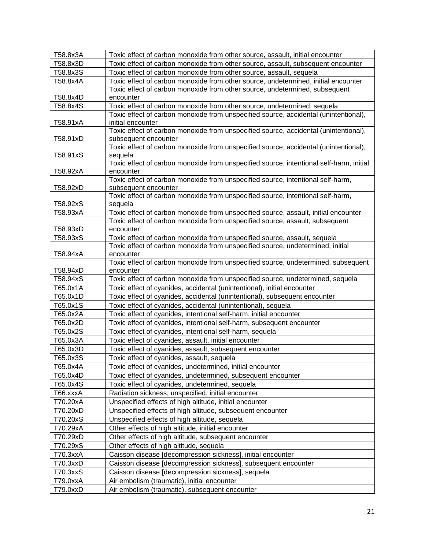| T58.8x3A<br>T58.8x3D | Toxic effect of carbon monoxide from other source, assault, initial encounter<br>Toxic effect of carbon monoxide from other source, assault, subsequent encounter |
|----------------------|-------------------------------------------------------------------------------------------------------------------------------------------------------------------|
|                      |                                                                                                                                                                   |
| T58.8x3S             | Toxic effect of carbon monoxide from other source, assault, sequela                                                                                               |
| T58.8x4A             | Toxic effect of carbon monoxide from other source, undetermined, initial encounter                                                                                |
|                      | Toxic effect of carbon monoxide from other source, undetermined, subsequent                                                                                       |
| T58.8x4D             | encounter                                                                                                                                                         |
| T58.8x4S             | Toxic effect of carbon monoxide from other source, undetermined, sequela                                                                                          |
|                      | Toxic effect of carbon monoxide from unspecified source, accidental (unintentional),                                                                              |
| T58.91xA             | initial encounter                                                                                                                                                 |
|                      | Toxic effect of carbon monoxide from unspecified source, accidental (unintentional),                                                                              |
| T58.91xD             | subsequent encounter                                                                                                                                              |
|                      | Toxic effect of carbon monoxide from unspecified source, accidental (unintentional),                                                                              |
| T58.91xS             | sequela                                                                                                                                                           |
|                      | Toxic effect of carbon monoxide from unspecified source, intentional self-harm, initial                                                                           |
| T58.92xA             | encounter                                                                                                                                                         |
|                      | Toxic effect of carbon monoxide from unspecified source, intentional self-harm,                                                                                   |
| T58.92xD             | subsequent encounter                                                                                                                                              |
|                      | Toxic effect of carbon monoxide from unspecified source, intentional self-harm,                                                                                   |
| T58.92xS             | sequela<br>Toxic effect of carbon monoxide from unspecified source, assault, initial encounter                                                                    |
| T58.93xA             |                                                                                                                                                                   |
| T58.93xD             | Toxic effect of carbon monoxide from unspecified source, assault, subsequent<br>encounter                                                                         |
|                      |                                                                                                                                                                   |
| T58.93xS             | Toxic effect of carbon monoxide from unspecified source, assault, sequela                                                                                         |
| T58.94xA             | Toxic effect of carbon monoxide from unspecified source, undetermined, initial<br>encounter                                                                       |
|                      | Toxic effect of carbon monoxide from unspecified source, undetermined, subsequent                                                                                 |
| T58.94xD             | encounter                                                                                                                                                         |
| T58.94xS             | Toxic effect of carbon monoxide from unspecified source, undetermined, sequela                                                                                    |
| T65.0x1A             | Toxic effect of cyanides, accidental (unintentional), initial encounter                                                                                           |
| T65.0x1D             | Toxic effect of cyanides, accidental (unintentional), subsequent encounter                                                                                        |
| T65.0x1S             | Toxic effect of cyanides, accidental (unintentional), sequela                                                                                                     |
| T65.0x2A             | Toxic effect of cyanides, intentional self-harm, initial encounter                                                                                                |
| T65.0x2D             | Toxic effect of cyanides, intentional self-harm, subsequent encounter                                                                                             |
| T65.0x2S             | Toxic effect of cyanides, intentional self-harm, sequela                                                                                                          |
| T65.0x3A             | Toxic effect of cyanides, assault, initial encounter                                                                                                              |
| T65.0x3D             | Toxic effect of cyanides, assault, subsequent encounter                                                                                                           |
| T65.0x3S             | Toxic effect of cyanides, assault, sequela                                                                                                                        |
| T65.0x4A             | Toxic effect of cyanides, undetermined, initial encounter                                                                                                         |
| T65.0x4D             | Toxic effect of cyanides, undetermined, subsequent encounter                                                                                                      |
| T65.0x4S             | Toxic effect of cyanides, undetermined, sequela                                                                                                                   |
| T66.xxxA             | Radiation sickness, unspecified, initial encounter                                                                                                                |
| T70.20xA             | Unspecified effects of high altitude, initial encounter                                                                                                           |
|                      |                                                                                                                                                                   |
| T70.20xD             | Unspecified effects of high altitude, subsequent encounter                                                                                                        |
| T70.20xS             | Unspecified effects of high altitude, sequela                                                                                                                     |
| T70.29xA             | Other effects of high altitude, initial encounter                                                                                                                 |
| T70.29xD             | Other effects of high altitude, subsequent encounter                                                                                                              |
| T70.29xS             | Other effects of high altitude, sequela                                                                                                                           |
| T70.3xxA             | Caisson disease [decompression sickness], initial encounter                                                                                                       |
| T70.3xxD             | Caisson disease [decompression sickness], subsequent encounter                                                                                                    |
| T70.3xxS             | Caisson disease [decompression sickness], sequela                                                                                                                 |
| T79.0xxA             | Air embolism (traumatic), initial encounter                                                                                                                       |
| T79.0xxD             | Air embolism (traumatic), subsequent encounter                                                                                                                    |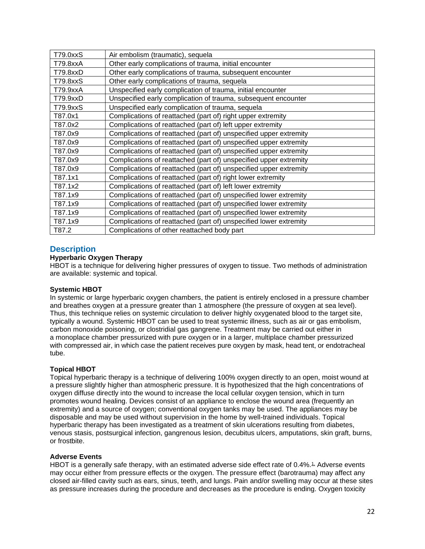| T79.0xxS | Air embolism (traumatic), sequela                                 |
|----------|-------------------------------------------------------------------|
| T79.8xxA | Other early complications of trauma, initial encounter            |
| T79.8xxD | Other early complications of trauma, subsequent encounter         |
| T79.8xxS | Other early complications of trauma, sequela                      |
| T79.9xxA | Unspecified early complication of trauma, initial encounter       |
| T79.9xxD | Unspecified early complication of trauma, subsequent encounter    |
| T79.9xxS | Unspecified early complication of trauma, sequela                 |
| T87.0x1  | Complications of reattached (part of) right upper extremity       |
| T87.0x2  | Complications of reattached (part of) left upper extremity        |
| T87.0x9  | Complications of reattached (part of) unspecified upper extremity |
| T87.0x9  | Complications of reattached (part of) unspecified upper extremity |
| T87.0x9  | Complications of reattached (part of) unspecified upper extremity |
| T87.0x9  | Complications of reattached (part of) unspecified upper extremity |
| T87.0x9  | Complications of reattached (part of) unspecified upper extremity |
| T87.1x1  | Complications of reattached (part of) right lower extremity       |
| T87.1x2  | Complications of reattached (part of) left lower extremity        |
| T87.1x9  | Complications of reattached (part of) unspecified lower extremity |
| T87.1x9  | Complications of reattached (part of) unspecified lower extremity |
| T87.1x9  | Complications of reattached (part of) unspecified lower extremity |
| T87.1x9  | Complications of reattached (part of) unspecified lower extremity |
| T87.2    | Complications of other reattached body part                       |

## <span id="page-21-0"></span>**Description**

### **Hyperbaric Oxygen Therapy**

HBOT is a technique for delivering higher pressures of oxygen to tissue. Two methods of administration are available: systemic and topical.

### **Systemic HBOT**

In systemic or large hyperbaric oxygen chambers, the patient is entirely enclosed in a pressure chamber and breathes oxygen at a pressure greater than 1 atmosphere (the pressure of oxygen at sea level). Thus, this technique relies on systemic circulation to deliver highly oxygenated blood to the target site, typically a wound. Systemic HBOT can be used to treat systemic illness, such as air or gas embolism, carbon monoxide poisoning, or clostridial gas gangrene. Treatment may be carried out either in a monoplace chamber pressurized with pure oxygen or in a larger, multiplace chamber pressurized with compressed air, in which case the patient receives pure oxygen by mask, head tent, or endotracheal tube.

### **Topical HBOT**

Topical hyperbaric therapy is a technique of delivering 100% oxygen directly to an open, moist wound at a pressure slightly higher than atmospheric pressure. It is hypothesized that the high concentrations of oxygen diffuse directly into the wound to increase the local cellular oxygen tension, which in turn promotes wound healing. Devices consist of an appliance to enclose the wound area (frequently an extremity) and a source of oxygen; conventional oxygen tanks may be used. The appliances may be disposable and may be used without supervision in the home by well-trained individuals. Topical hyperbaric therapy has been investigated as a treatment of skin ulcerations resulting from diabetes, venous stasis, postsurgical infection, gangrenous lesion, decubitus ulcers, amputations, skin graft, burns, or frostbite.

#### **Adverse Events**

HBOT is a generally safe therapy, with an estimated adverse side effect rate of 0.4%.<sup>1</sup> Adverse events may occur either from pressure effects or the oxygen. The pressure effect (barotrauma) may affect any closed air-filled cavity such as ears, sinus, teeth, and lungs. Pain and/or swelling may occur at these sites as pressure increases during the procedure and decreases as the procedure is ending. Oxygen toxicity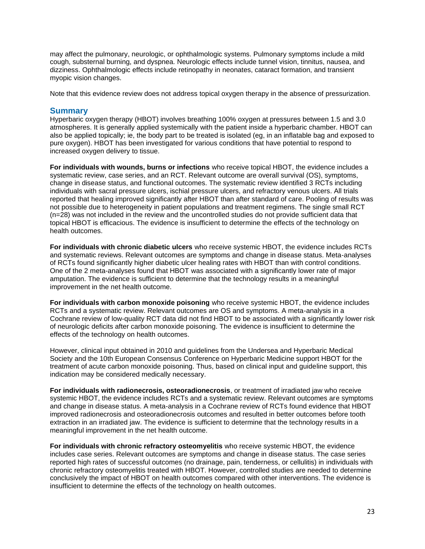may affect the pulmonary, neurologic, or ophthalmologic systems. Pulmonary symptoms include a mild cough, substernal burning, and dyspnea. Neurologic effects include tunnel vision, tinnitus, nausea, and dizziness. Ophthalmologic effects include retinopathy in neonates, cataract formation, and transient myopic vision changes.

Note that this evidence review does not address topical oxygen therapy in the absence of pressurization.

### **Summary**

Hyperbaric oxygen therapy (HBOT) involves breathing 100% oxygen at pressures between 1.5 and 3.0 atmospheres. It is generally applied systemically with the patient inside a hyperbaric chamber. HBOT can also be applied topically; ie, the body part to be treated is isolated (eg, in an inflatable bag and exposed to pure oxygen). HBOT has been investigated for various conditions that have potential to respond to increased oxygen delivery to tissue.

**For individuals with wounds, burns or infections** who receive topical HBOT, the evidence includes a systematic review, case series, and an RCT. Relevant outcome are overall survival (OS), symptoms, change in disease status, and functional outcomes. The systematic review identified 3 RCTs including individuals with sacral pressure ulcers, ischial pressure ulcers, and refractory venous ulcers. All trials reported that healing improved significantly after HBOT than after standard of care. Pooling of results was not possible due to heterogeneity in patient populations and treatment regimens. The single small RCT (n=28) was not included in the review and the uncontrolled studies do not provide sufficient data that topical HBOT is efficacious. The evidence is insufficient to determine the effects of the technology on health outcomes.

**For individuals with chronic diabetic ulcers** who receive systemic HBOT, the evidence includes RCTs and systematic reviews. Relevant outcomes are symptoms and change in disease status. Meta-analyses of RCTs found significantly higher diabetic ulcer healing rates with HBOT than with control conditions. One of the 2 meta-analyses found that HBOT was associated with a significantly lower rate of major amputation. The evidence is sufficient to determine that the technology results in a meaningful improvement in the net health outcome.

**For individuals with carbon monoxide poisoning** who receive systemic HBOT, the evidence includes RCTs and a systematic review. Relevant outcomes are OS and symptoms. A meta-analysis in a Cochrane review of low-quality RCT data did not find HBOT to be associated with a significantly lower risk of neurologic deficits after carbon monoxide poisoning. The evidence is insufficient to determine the effects of the technology on health outcomes.

However, clinical input obtained in 2010 and guidelines from the Undersea and Hyperbaric Medical Society and the 10th European Consensus Conference on Hyperbaric Medicine support HBOT for the treatment of acute carbon monoxide poisoning. Thus, based on clinical input and guideline support, this indication may be considered medically necessary.

**For individuals with radionecrosis, osteoradionecrosis**, or treatment of irradiated jaw who receive systemic HBOT, the evidence includes RCTs and a systematic review. Relevant outcomes are symptoms and change in disease status. A meta-analysis in a Cochrane review of RCTs found evidence that HBOT improved radionecrosis and osteoradionecrosis outcomes and resulted in better outcomes before tooth extraction in an irradiated jaw. The evidence is sufficient to determine that the technology results in a meaningful improvement in the net health outcome.

**For individuals with chronic refractory osteomyelitis** who receive systemic HBOT, the evidence includes case series. Relevant outcomes are symptoms and change in disease status. The case series reported high rates of successful outcomes (no drainage, pain, tenderness, or cellulitis) in individuals with chronic refractory osteomyelitis treated with HBOT. However, controlled studies are needed to determine conclusively the impact of HBOT on health outcomes compared with other interventions. The evidence is insufficient to determine the effects of the technology on health outcomes.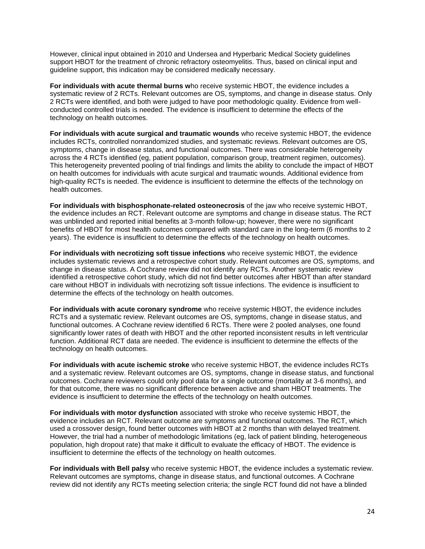However, clinical input obtained in 2010 and Undersea and Hyperbaric Medical Society guidelines support HBOT for the treatment of chronic refractory osteomyelitis. Thus, based on clinical input and guideline support, this indication may be considered medically necessary.

**For individuals with acute thermal burns w**ho receive systemic HBOT, the evidence includes a systematic review of 2 RCTs. Relevant outcomes are OS, symptoms, and change in disease status. Only 2 RCTs were identified, and both were judged to have poor methodologic quality. Evidence from wellconducted controlled trials is needed. The evidence is insufficient to determine the effects of the technology on health outcomes.

**For individuals with acute surgical and traumatic wounds** who receive systemic HBOT, the evidence includes RCTs, controlled nonrandomized studies, and systematic reviews. Relevant outcomes are OS, symptoms, change in disease status, and functional outcomes. There was considerable heterogeneity across the 4 RCTs identified (eg, patient population, comparison group, treatment regimen, outcomes). This heterogeneity prevented pooling of trial findings and limits the ability to conclude the impact of HBOT on health outcomes for individuals with acute surgical and traumatic wounds. Additional evidence from high-quality RCTs is needed. The evidence is insufficient to determine the effects of the technology on health outcomes.

**For individuals with bisphosphonate-related osteonecrosis** of the jaw who receive systemic HBOT, the evidence includes an RCT. Relevant outcome are symptoms and change in disease status. The RCT was unblinded and reported initial benefits at 3-month follow-up; however, there were no significant benefits of HBOT for most health outcomes compared with standard care in the long-term (6 months to 2 years). The evidence is insufficient to determine the effects of the technology on health outcomes.

**For individuals with necrotizing soft tissue infections** who receive systemic HBOT, the evidence includes systematic reviews and a retrospective cohort study. Relevant outcomes are OS, symptoms, and change in disease status. A Cochrane review did not identify any RCTs. Another systematic review identified a retrospective cohort study, which did not find better outcomes after HBOT than after standard care without HBOT in individuals with necrotizing soft tissue infections. The evidence is insufficient to determine the effects of the technology on health outcomes.

**For individuals with acute coronary syndrome** who receive systemic HBOT, the evidence includes RCTs and a systematic review. Relevant outcomes are OS, symptoms, change in disease status, and functional outcomes. A Cochrane review identified 6 RCTs. There were 2 pooled analyses, one found significantly lower rates of death with HBOT and the other reported inconsistent results in left ventricular function. Additional RCT data are needed. The evidence is insufficient to determine the effects of the technology on health outcomes.

**For individuals with acute ischemic stroke** who receive systemic HBOT, the evidence includes RCTs and a systematic review. Relevant outcomes are OS, symptoms, change in disease status, and functional outcomes. Cochrane reviewers could only pool data for a single outcome (mortality at 3-6 months), and for that outcome, there was no significant difference between active and sham HBOT treatments. The evidence is insufficient to determine the effects of the technology on health outcomes.

**For individuals with motor dysfunction** associated with stroke who receive systemic HBOT, the evidence includes an RCT. Relevant outcome are symptoms and functional outcomes. The RCT, which used a crossover design, found better outcomes with HBOT at 2 months than with delayed treatment. However, the trial had a number of methodologic limitations (eg, lack of patient blinding, heterogeneous population, high dropout rate) that make it difficult to evaluate the efficacy of HBOT. The evidence is insufficient to determine the effects of the technology on health outcomes.

**For individuals with Bell palsy** who receive systemic HBOT, the evidence includes a systematic review. Relevant outcomes are symptoms, change in disease status, and functional outcomes. A Cochrane review did not identify any RCTs meeting selection criteria; the single RCT found did not have a blinded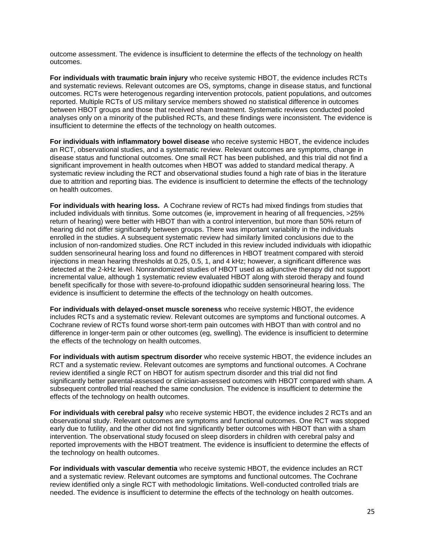outcome assessment. The evidence is insufficient to determine the effects of the technology on health outcomes.

**For individuals with traumatic brain injury** who receive systemic HBOT, the evidence includes RCTs and systematic reviews. Relevant outcomes are OS, symptoms, change in disease status, and functional outcomes. RCTs were heterogenous regarding intervention protocols, patient populations, and outcomes reported. Multiple RCTs of US military service members showed no statistical difference in outcomes between HBOT groups and those that received sham treatment. Systematic reviews conducted pooled analyses only on a minority of the published RCTs, and these findings were inconsistent. The evidence is insufficient to determine the effects of the technology on health outcomes.

**For individuals with inflammatory bowel disease** who receive systemic HBOT, the evidence includes an RCT, observational studies, and a systematic review. Relevant outcomes are symptoms, change in disease status and functional outcomes. One small RCT has been published, and this trial did not find a significant improvement in health outcomes when HBOT was added to standard medical therapy. A systematic review including the RCT and observational studies found a high rate of bias in the literature due to attrition and reporting bias. The evidence is insufficient to determine the effects of the technology on health outcomes.

**For individuals with hearing loss.** A Cochrane review of RCTs had mixed findings from studies that included individuals with tinnitus. Some outcomes (ie, improvement in hearing of all frequencies, >25% return of hearing) were better with HBOT than with a control intervention, but more than 50% return of hearing did not differ significantly between groups. There was important variability in the individuals enrolled in the studies. A subsequent systematic review had similarly limited conclusions due to the inclusion of non-randomized studies. One RCT included in this review included individuals with idiopathic sudden sensorineural hearing loss and found no differences in HBOT treatment compared with steroid injections in mean hearing thresholds at 0.25, 0.5, 1, and 4 kHz; however, a significant difference was detected at the 2-kHz level. Nonrandomized studies of HBOT used as adjunctive therapy did not support incremental value, although 1 systematic review evaluated HBOT along with steroid therapy and found benefit specifically for those with severe-to-profound idiopathic sudden sensorineural hearing loss. The evidence is insufficient to determine the effects of the technology on health outcomes.

**For individuals with delayed-onset muscle soreness** who receive systemic HBOT, the evidence includes RCTs and a systematic review. Relevant outcomes are symptoms and functional outcomes. A Cochrane review of RCTs found worse short-term pain outcomes with HBOT than with control and no difference in longer-term pain or other outcomes (eg, swelling). The evidence is insufficient to determine the effects of the technology on health outcomes.

**For individuals with autism spectrum disorder** who receive systemic HBOT, the evidence includes an RCT and a systematic review. Relevant outcomes are symptoms and functional outcomes. A Cochrane review identified a single RCT on HBOT for autism spectrum disorder and this trial did not find significantly better parental-assessed or clinician-assessed outcomes with HBOT compared with sham. A subsequent controlled trial reached the same conclusion. The evidence is insufficient to determine the effects of the technology on health outcomes.

**For individuals with cerebral palsy** who receive systemic HBOT, the evidence includes 2 RCTs and an observational study. Relevant outcomes are symptoms and functional outcomes. One RCT was stopped early due to futility, and the other did not find significantly better outcomes with HBOT than with a sham intervention. The observational study focused on sleep disorders in children with cerebral palsy and reported improvements with the HBOT treatment. The evidence is insufficient to determine the effects of the technology on health outcomes.

**For individuals with vascular dementia** who receive systemic HBOT, the evidence includes an RCT and a systematic review. Relevant outcomes are symptoms and functional outcomes. The Cochrane review identified only a single RCT with methodologic limitations. Well-conducted controlled trials are needed. The evidence is insufficient to determine the effects of the technology on health outcomes.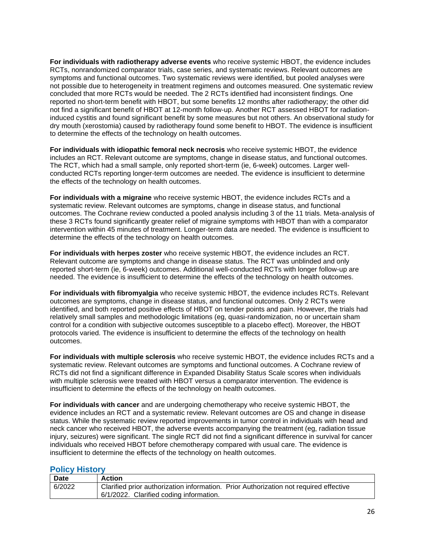**For individuals with radiotherapy adverse events** who receive systemic HBOT, the evidence includes RCTs, nonrandomized comparator trials, case series, and systematic reviews. Relevant outcomes are symptoms and functional outcomes. Two systematic reviews were identified, but pooled analyses were not possible due to heterogeneity in treatment regimens and outcomes measured. One systematic review concluded that more RCTs would be needed. The 2 RCTs identified had inconsistent findings. One reported no short-term benefit with HBOT, but some benefits 12 months after radiotherapy; the other did not find a significant benefit of HBOT at 12-month follow-up. Another RCT assessed HBOT for radiationinduced cystitis and found significant benefit by some measures but not others. An observational study for dry mouth (xerostomia) caused by radiotherapy found some benefit to HBOT. The evidence is insufficient to determine the effects of the technology on health outcomes.

**For individuals with idiopathic femoral neck necrosis** who receive systemic HBOT, the evidence includes an RCT. Relevant outcome are symptoms, change in disease status, and functional outcomes. The RCT, which had a small sample, only reported short-term (ie, 6-week) outcomes. Larger wellconducted RCTs reporting longer-term outcomes are needed. The evidence is insufficient to determine the effects of the technology on health outcomes.

**For individuals with a migraine** who receive systemic HBOT, the evidence includes RCTs and a systematic review. Relevant outcomes are symptoms, change in disease status, and functional outcomes. The Cochrane review conducted a pooled analysis including 3 of the 11 trials. Meta-analysis of these 3 RCTs found significantly greater relief of migraine symptoms with HBOT than with a comparator intervention within 45 minutes of treatment. Longer-term data are needed. The evidence is insufficient to determine the effects of the technology on health outcomes.

**For individuals with herpes zoster** who receive systemic HBOT, the evidence includes an RCT. Relevant outcome are symptoms and change in disease status. The RCT was unblinded and only reported short-term (ie, 6-week) outcomes. Additional well-conducted RCTs with longer follow-up are needed. The evidence is insufficient to determine the effects of the technology on health outcomes.

**For individuals with fibromyalgia** who receive systemic HBOT, the evidence includes RCTs. Relevant outcomes are symptoms, change in disease status, and functional outcomes. Only 2 RCTs were identified, and both reported positive effects of HBOT on tender points and pain. However, the trials had relatively small samples and methodologic limitations (eg, quasi-randomization, no or uncertain sham control for a condition with subjective outcomes susceptible to a placebo effect). Moreover, the HBOT protocols varied. The evidence is insufficient to determine the effects of the technology on health outcomes.

**For individuals with multiple sclerosis** who receive systemic HBOT, the evidence includes RCTs and a systematic review. Relevant outcomes are symptoms and functional outcomes. A Cochrane review of RCTs did not find a significant difference in Expanded Disability Status Scale scores when individuals with multiple sclerosis were treated with HBOT versus a comparator intervention. The evidence is insufficient to determine the effects of the technology on health outcomes.

**For individuals with cancer** and are undergoing chemotherapy who receive systemic HBOT, the evidence includes an RCT and a systematic review. Relevant outcomes are OS and change in disease status. While the systematic review reported improvements in tumor control in individuals with head and neck cancer who received HBOT, the adverse events accompanying the treatment (eg, radiation tissue injury, seizures) were significant. The single RCT did not find a significant difference in survival for cancer individuals who received HBOT before chemotherapy compared with usual care. The evidence is insufficient to determine the effects of the technology on health outcomes.

### <span id="page-25-0"></span>**Policy History**

| <b>Date</b> | Action                                                                                |
|-------------|---------------------------------------------------------------------------------------|
| 6/2022      | Clarified prior authorization information. Prior Authorization not required effective |
|             | 6/1/2022. Clarified coding information.                                               |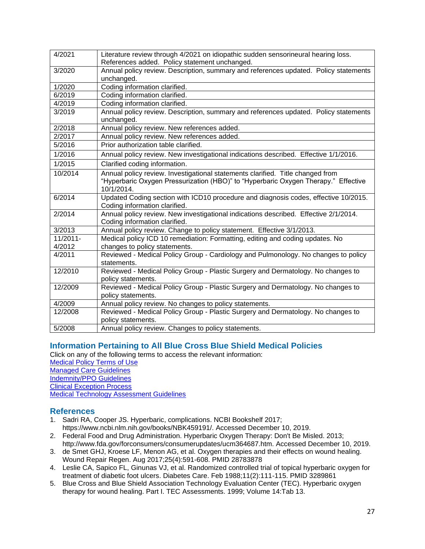| 4/2021   | Literature review through 4/2021 on idiopathic sudden sensorineural hearing loss.    |
|----------|--------------------------------------------------------------------------------------|
|          | References added. Policy statement unchanged.                                        |
| 3/2020   | Annual policy review. Description, summary and references updated. Policy statements |
|          | unchanged.                                                                           |
| 1/2020   | Coding information clarified.                                                        |
| 6/2019   | Coding information clarified.                                                        |
| 4/2019   | Coding information clarified.                                                        |
| 3/2019   | Annual policy review. Description, summary and references updated. Policy statements |
|          | unchanged.                                                                           |
| 2/2018   | Annual policy review. New references added.                                          |
| 2/2017   | Annual policy review. New references added.                                          |
| 5/2016   | Prior authorization table clarified.                                                 |
| 1/2016   | Annual policy review. New investigational indications described. Effective 1/1/2016. |
| 1/2015   | Clarified coding information.                                                        |
| 10/2014  | Annual policy review. Investigational statements clarified. Title changed from       |
|          | "Hyperbaric Oxygen Pressurization (HBO)" to "Hyperbaric Oxygen Therapy." Effective   |
|          | 10/1/2014.                                                                           |
| 6/2014   | Updated Coding section with ICD10 procedure and diagnosis codes, effective 10/2015.  |
|          | Coding information clarified.                                                        |
| 2/2014   | Annual policy review. New investigational indications described. Effective 2/1/2014. |
|          | Coding information clarified.                                                        |
| 3/2013   | Annual policy review. Change to policy statement. Effective 3/1/2013.                |
| 11/2011- | Medical policy ICD 10 remediation: Formatting, editing and coding updates. No        |
| 4/2012   | changes to policy statements.                                                        |
| 4/2011   | Reviewed - Medical Policy Group - Cardiology and Pulmonology. No changes to policy   |
|          | statements.                                                                          |
| 12/2010  | Reviewed - Medical Policy Group - Plastic Surgery and Dermatology. No changes to     |
|          | policy statements.                                                                   |
| 12/2009  | Reviewed - Medical Policy Group - Plastic Surgery and Dermatology. No changes to     |
|          | policy statements.                                                                   |
| 4/2009   | Annual policy review. No changes to policy statements.                               |
| 12/2008  | Reviewed - Medical Policy Group - Plastic Surgery and Dermatology. No changes to     |
|          | policy statements.                                                                   |
| 5/2008   | Annual policy review. Changes to policy statements.                                  |

## <span id="page-26-0"></span>**Information Pertaining to All Blue Cross Blue Shield Medical Policies**

Click on any of the following terms to access the relevant information:

[Medical Policy Terms of Use](http://www.bluecrossma.org/medical-policies/sites/g/files/csphws2091/files/acquiadam-assets/Medical_Policy_Terms_of_Use_prn.pdf) [Managed Care Guidelines](http://www.bluecrossma.org/medical-policies/sites/g/files/csphws2091/files/acquiadam-assets/Managed_Care_Guidelines_prn.pdf) [Indemnity/PPO Guidelines](http://www.bluecrossma.org/medical-policies/sites/g/files/csphws2091/files/acquiadam-assets/Indemnity_and_PPO_Guidelines_prn.pdf) [Clinical Exception Process](http://www.bluecrossma.org/medical-policies/sites/g/files/csphws2091/files/acquiadam-assets/Clinical_Exception_Process_prn.pdf) [Medical Technology Assessment Guidelines](http://www.bluecrossma.org/medical-policies/sites/g/files/csphws2091/files/acquiadam-assets/Medical_Technology_Assessment_Guidelines_prn.pdf)

## <span id="page-26-1"></span>**References**

- 1. Sadri RA, Cooper JS. Hyperbaric, complications. NCBI Bookshelf 2017; https://www.ncbi.nlm.nih.gov/books/NBK459191/. Accessed December 10, 2019.
- 2. Federal Food and Drug Administration. Hyperbaric Oxygen Therapy: Don't Be Misled. 2013; http://www.fda.gov/forconsumers/consumerupdates/ucm364687.htm. Accessed December 10, 2019.
- 3. de Smet GHJ, Kroese LF, Menon AG, et al. Oxygen therapies and their effects on wound healing. Wound Repair Regen. Aug 2017;25(4):591-608. PMID 28783878
- 4. Leslie CA, Sapico FL, Ginunas VJ, et al. Randomized controlled trial of topical hyperbaric oxygen for treatment of diabetic foot ulcers. Diabetes Care. Feb 1988;11(2):111-115. PMID 3289861
- 5. Blue Cross and Blue Shield Association Technology Evaluation Center (TEC). Hyperbaric oxygen therapy for wound healing. Part I. TEC Assessments. 1999; Volume 14:Tab 13.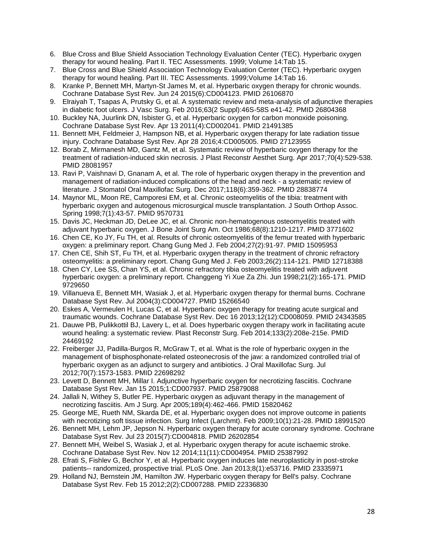- 6. Blue Cross and Blue Shield Association Technology Evaluation Center (TEC). Hyperbaric oxygen therapy for wound healing. Part II. TEC Assessments. 1999; Volume 14:Tab 15.
- 7. Blue Cross and Blue Shield Association Technology Evaluation Center (TEC). Hyperbaric oxygen therapy for wound healing. Part III. TEC Assessments. 1999;Volume 14:Tab 16.
- 8. Kranke P, Bennett MH, Martyn-St James M, et al. Hyperbaric oxygen therapy for chronic wounds. Cochrane Database Syst Rev. Jun 24 2015(6):CD004123. PMID 26106870
- 9. Elraiyah T, Tsapas A, Prutsky G, et al. A systematic review and meta-analysis of adjunctive therapies in diabetic foot ulcers. J Vasc Surg. Feb 2016;63(2 Suppl):46S-58S e41-42. PMID 26804368
- 10. Buckley NA, Juurlink DN, Isbister G, et al. Hyperbaric oxygen for carbon monoxide poisoning. Cochrane Database Syst Rev. Apr 13 2011(4):CD002041. PMID 21491385
- 11. Bennett MH, Feldmeier J, Hampson NB, et al. Hyperbaric oxygen therapy for late radiation tissue injury. Cochrane Database Syst Rev. Apr 28 2016;4:CD005005. PMID 27123955
- 12. Borab Z, Mirmanesh MD, Gantz M, et al. Systematic review of hyperbaric oxygen therapy for the treatment of radiation-induced skin necrosis. J Plast Reconstr Aesthet Surg. Apr 2017;70(4):529-538. PMID 28081957
- 13. Ravi P, Vaishnavi D, Gnanam A, et al. The role of hyperbaric oxygen therapy in the prevention and management of radiation-induced complications of the head and neck - a systematic review of literature. J Stomatol Oral Maxillofac Surg. Dec 2017;118(6):359-362. PMID 28838774
- 14. Maynor ML, Moon RE, Camporesi EM, et al. Chronic osteomyelitis of the tibia: treatment with hyperbaric oxygen and autogenous microsurgical muscle transplantation. J South Orthop Assoc. Spring 1998;7(1):43-57. PMID 9570731
- 15. Davis JC, Heckman JD, DeLee JC, et al. Chronic non-hematogenous osteomyelitis treated with adjuvant hyperbaric oxygen. J Bone Joint Surg Am. Oct 1986;68(8):1210-1217. PMID 3771602
- 16. Chen CE, Ko JY, Fu TH, et al. Results of chronic osteomyelitis of the femur treated with hyperbaric oxygen: a preliminary report. Chang Gung Med J. Feb 2004;27(2):91-97. PMID 15095953
- 17. Chen CE, Shih ST, Fu TH, et al. Hyperbaric oxygen therapy in the treatment of chronic refractory osteomyelitis: a preliminary report. Chang Gung Med J. Feb 2003;26(2):114-121. PMID 12718388
- 18. Chen CY, Lee SS, Chan YS, et al. Chronic refractory tibia osteomyelitis treated with adjuvent hyperbaric oxygen: a preliminary report. Changgeng Yi Xue Za Zhi. Jun 1998;21(2):165-171. PMID 9729650
- 19. Villanueva E, Bennett MH, Wasiak J, et al. Hyperbaric oxygen therapy for thermal burns. Cochrane Database Syst Rev. Jul 2004(3):CD004727. PMID 15266540
- 20. Eskes A, Vermeulen H, Lucas C, et al. Hyperbaric oxygen therapy for treating acute surgical and traumatic wounds. Cochrane Database Syst Rev. Dec 16 2013;12(12):CD008059. PMID 24343585
- 21. Dauwe PB, Pulikkottil BJ, Lavery L, et al. Does hyperbaric oxygen therapy work in facilitating acute wound healing: a systematic review. Plast Reconstr Surg. Feb 2014;133(2):208e-215e. PMID 24469192
- 22. Freiberger JJ, Padilla-Burgos R, McGraw T, et al. What is the role of hyperbaric oxygen in the management of bisphosphonate-related osteonecrosis of the jaw: a randomized controlled trial of hyperbaric oxygen as an adjunct to surgery and antibiotics. J Oral Maxillofac Surg. Jul 2012;70(7):1573-1583. PMID 22698292
- 23. Levett D, Bennett MH, Millar I. Adjunctive hyperbaric oxygen for necrotizing fasciitis. Cochrane Database Syst Rev. Jan 15 2015;1:CD007937. PMID 25879088
- 24. Jallali N, Withey S, Butler PE. Hyperbaric oxygen as adjuvant therapy in the management of necrotizing fasciitis. Am J Surg. Apr 2005;189(4):462-466. PMID 15820462
- 25. George ME, Rueth NM, Skarda DE, et al. Hyperbaric oxygen does not improve outcome in patients with necrotizing soft tissue infection. Surg Infect (Larchmt). Feb 2009;10(1):21-28. PMID 18991520
- 26. Bennett MH, Lehm JP, Jepson N. Hyperbaric oxygen therapy for acute coronary syndrome. Cochrane Database Syst Rev. Jul 23 2015(7):CD004818. PMID 26202854
- 27. Bennett MH, Weibel S, Wasiak J, et al. Hyperbaric oxygen therapy for acute ischaemic stroke. Cochrane Database Syst Rev. Nov 12 2014;11(11):CD004954. PMID 25387992
- 28. Efrati S, Fishlev G, Bechor Y, et al. Hyperbaric oxygen induces late neuroplasticity in post-stroke patients-- randomized, prospective trial. PLoS One. Jan 2013;8(1):e53716. PMID 23335971
- 29. Holland NJ, Bernstein JM, Hamilton JW. Hyperbaric oxygen therapy for Bell's palsy. Cochrane Database Syst Rev. Feb 15 2012;2(2):CD007288. PMID 22336830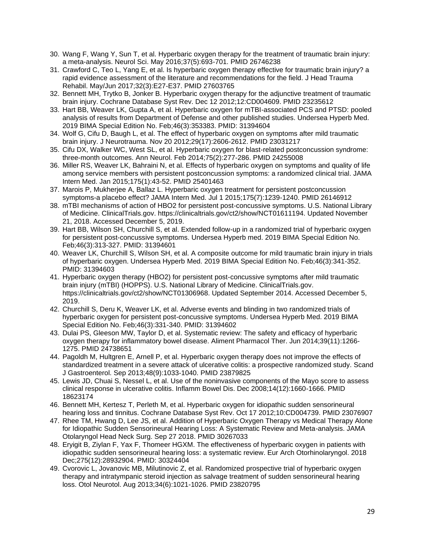- 30. Wang F, Wang Y, Sun T, et al. Hyperbaric oxygen therapy for the treatment of traumatic brain injury: a meta-analysis. Neurol Sci. May 2016;37(5):693-701. PMID 26746238
- 31. Crawford C, Teo L, Yang E, et al. Is hyperbaric oxygen therapy effective for traumatic brain injury? a rapid evidence assessment of the literature and recommendations for the field. J Head Trauma Rehabil. May/Jun 2017;32(3):E27-E37. PMID 27603765
- 32. Bennett MH, Trytko B, Jonker B. Hyperbaric oxygen therapy for the adjunctive treatment of traumatic brain injury. Cochrane Database Syst Rev. Dec 12 2012;12:CD004609. PMID 23235612
- 33. Hart BB, Weaver LK, Gupta A, et al. Hyperbaric oxygen for mTBI-associated PCS and PTSD: pooled analysis of results from Department of Defense and other published studies. Undersea Hyperb Med. 2019 BIMA Special Edition No. Feb;46(3):353383. PMID: 31394604
- 34. Wolf G, Cifu D, Baugh L, et al. The effect of hyperbaric oxygen on symptoms after mild traumatic brain injury. J Neurotrauma. Nov 20 2012;29(17):2606-2612. PMID 23031217
- 35. Cifu DX, Walker WC, West SL, et al. Hyperbaric oxygen for blast-related postconcussion syndrome: three-month outcomes. Ann Neurol. Feb 2014;75(2):277-286. PMID 24255008
- 36. Miller RS, Weaver LK, Bahraini N, et al. Effects of hyperbaric oxygen on symptoms and quality of life among service members with persistent postconcussion symptoms: a randomized clinical trial. JAMA Intern Med. Jan 2015;175(1):43-52. PMID 25401463
- 37. Marois P, Mukherjee A, Ballaz L. Hyperbaric oxygen treatment for persistent postconcussion symptoms-a placebo effect? JAMA Intern Med. Jul 1 2015;175(7):1239-1240. PMID 26146912
- 38. mTBI mechanisms of action of HBO2 for persistent post-concussive symptoms. U.S. National Library of Medicine. ClinicalTrials.gov. https://clinicaltrials.gov/ct2/show/NCT01611194. Updated November 21, 2018. Accessed December 5, 2019.
- 39. Hart BB, Wilson SH, Churchill S, et al. Extended follow-up in a randomized trial of hyperbaric oxygen for persistent post-concussive symptoms. Undersea Hyperb med. 2019 BIMA Special Edition No. Feb;46(3):313-327. PMID: 31394601
- 40. Weaver LK, Churchill S, Wilson SH, et al. A composite outcome for mild traumatic brain injury in trials of hyperbaric oxygen. Undersea Hyperb Med. 2019 BIMA Special Edition No. Feb;46(3):341-352. PMID: 31394603
- 41. Hyperbaric oxygen therapy (HBO2) for persistent post-concussive symptoms after mild traumatic brain injury (mTBI) (HOPPS). U.S. National Library of Medicine. ClinicalTrials.gov. https://clinicaltrials.gov/ct2/show/NCT01306968. Updated September 2014. Accessed December 5, 2019.
- 42. Churchill S, Deru K, Weaver LK, et al. Adverse events and blinding in two randomized trials of hyperbaric oxygen for persistent post-concussive symptoms. Undersea Hyperb Med. 2019 BIMA Special Edition No. Feb;46(3):331-340. PMID: 31394602
- 43. Dulai PS, Gleeson MW, Taylor D, et al. Systematic review: The safety and efficacy of hyperbaric oxygen therapy for inflammatory bowel disease. Aliment Pharmacol Ther. Jun 2014;39(11):1266- 1275. PMID 24738651
- 44. Pagoldh M, Hultgren E, Arnell P, et al. Hyperbaric oxygen therapy does not improve the effects of standardized treatment in a severe attack of ulcerative colitis: a prospective randomized study. Scand J Gastroenterol. Sep 2013;48(9):1033-1040. PMID 23879825
- 45. Lewis JD, Chuai S, Nessel L, et al. Use of the noninvasive components of the Mayo score to assess clinical response in ulcerative colitis. Inflamm Bowel Dis. Dec 2008;14(12):1660-1666. PMID 18623174
- 46. Bennett MH, Kertesz T, Perleth M, et al. Hyperbaric oxygen for idiopathic sudden sensorineural hearing loss and tinnitus. Cochrane Database Syst Rev. Oct 17 2012;10:CD004739. PMID 23076907
- 47. Rhee TM, Hwang D, Lee JS, et al. Addition of Hyperbaric Oxygen Therapy vs Medical Therapy Alone for Idiopathic Sudden Sensorineural Hearing Loss: A Systematic Review and Meta-analysis. JAMA Otolaryngol Head Neck Surg. Sep 27 2018. PMID 30267033
- 48. Eryigit B, Ziylan F, Yax F, Thomeer HGXM. The effectiveness of hyperbaric oxygen in patients with idiopathic sudden sensorineural hearing loss: a systematic review. Eur Arch Otorhinolaryngol. 2018 Dec;275(12):28932904. PMID: 30324404
- 49. Cvorovic L, Jovanovic MB, Milutinovic Z, et al. Randomized prospective trial of hyperbaric oxygen therapy and intratympanic steroid injection as salvage treatment of sudden sensorineural hearing loss. Otol Neurotol. Aug 2013;34(6):1021-1026. PMID 23820795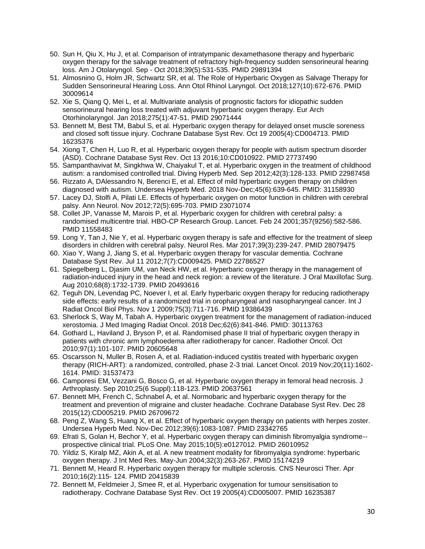- 50. Sun H, Qiu X, Hu J, et al. Comparison of intratympanic dexamethasone therapy and hyperbaric oxygen therapy for the salvage treatment of refractory high-frequency sudden sensorineural hearing loss. Am J Otolaryngol. Sep - Oct 2018;39(5):531-535. PMID 29891394
- 51. Almosnino G, Holm JR, Schwartz SR, et al. The Role of Hyperbaric Oxygen as Salvage Therapy for Sudden Sensorineural Hearing Loss. Ann Otol Rhinol Laryngol. Oct 2018;127(10):672-676. PMID 30009614
- 52. Xie S, Qiang Q, Mei L, et al. Multivariate analysis of prognostic factors for idiopathic sudden sensorineural hearing loss treated with adjuvant hyperbaric oxygen therapy. Eur Arch Otorhinolaryngol. Jan 2018;275(1):47-51. PMID 29071444
- 53. Bennett M, Best TM, Babul S, et al. Hyperbaric oxygen therapy for delayed onset muscle soreness and closed soft tissue injury. Cochrane Database Syst Rev. Oct 19 2005(4):CD004713. PMID 16235376
- 54. Xiong T, Chen H, Luo R, et al. Hyperbaric oxygen therapy for people with autism spectrum disorder (ASD). Cochrane Database Syst Rev. Oct 13 2016;10:CD010922. PMID 27737490
- 55. Sampanthavivat M, Singkhwa W, Chaiyakul T, et al. Hyperbaric oxygen in the treatment of childhood autism: a randomised controlled trial. Diving Hyperb Med. Sep 2012;42(3):128-133. PMID 22987458
- 56. Rizzato A, DAlessandro N, Berenci E, et al. Effect of mild hyperbaric oxygen therapy on children diagnosed with autism. Undersea Hyperb Med. 2018 Nov-Dec;45(6):639-645. PMID: 31158930
- 57. Lacey DJ, Stolfi A, Pilati LE. Effects of hyperbaric oxygen on motor function in children with cerebral palsy. Ann Neurol. Nov 2012;72(5):695-703. PMID 23071074
- 58. Collet JP, Vanasse M, Marois P, et al. Hyperbaric oxygen for children with cerebral palsy: a randomised multicentre trial. HBO-CP Research Group. Lancet. Feb 24 2001;357(9256):582-586. PMID 11558483
- 59. Long Y, Tan J, Nie Y, et al. Hyperbaric oxygen therapy is safe and effective for the treatment of sleep disorders in children with cerebral palsy. Neurol Res. Mar 2017;39(3):239-247. PMID 28079475
- 60. Xiao Y, Wang J, Jiang S, et al. Hyperbaric oxygen therapy for vascular dementia. Cochrane Database Syst Rev. Jul 11 2012;7(7):CD009425. PMID 22786527
- 61. Spiegelberg L, Djasim UM, van Neck HW, et al. Hyperbaric oxygen therapy in the management of radiation-induced injury in the head and neck region: a review of the literature. J Oral Maxillofac Surg. Aug 2010;68(8):1732-1739. PMID 20493616
- 62. Teguh DN, Levendag PC, Noever I, et al. Early hyperbaric oxygen therapy for reducing radiotherapy side effects: early results of a randomized trial in oropharyngeal and nasopharyngeal cancer. Int J Radiat Oncol Biol Phys. Nov 1 2009;75(3):711-716. PMID 19386439
- 63. Sherlock S, Way M, Tabah A. Hyperbaric oxygen treatment for the management of radiation-induced xerostomia. J Med Imaging Radiat Oncol. 2018 Dec;62(6):841-846. PMID: 30113763
- 64. Gothard L, Haviland J, Bryson P, et al. Randomised phase II trial of hyperbaric oxygen therapy in patients with chronic arm lymphoedema after radiotherapy for cancer. Radiother Oncol. Oct 2010;97(1):101-107. PMID 20605648
- 65. Oscarsson N, Muller B, Rosen A, et al. Radiation-induced cystitis treated with hyperbaric oxygen therapy (RICH-ART): a randomized, controlled, phase 2-3 trial. Lancet Oncol. 2019 Nov;20(11):1602- 1614. PMID: 31537473
- 66. Camporesi EM, Vezzani G, Bosco G, et al. Hyperbaric oxygen therapy in femoral head necrosis. J Arthroplasty. Sep 2010;25(6 Suppl):118-123. PMID 20637561
- 67. Bennett MH, French C, Schnabel A, et al. Normobaric and hyperbaric oxygen therapy for the treatment and prevention of migraine and cluster headache. Cochrane Database Syst Rev. Dec 28 2015(12):CD005219. PMID 26709672
- 68. Peng Z, Wang S, Huang X, et al. Effect of hyperbaric oxygen therapy on patients with herpes zoster. Undersea Hyperb Med. Nov-Dec 2012;39(6):1083-1087. PMID 23342765
- 69. Efrati S, Golan H, Bechor Y, et al. Hyperbaric oxygen therapy can diminish fibromyalgia syndrome- prospective clinical trial. PLoS One. May 2015;10(5):e0127012. PMID 26010952
- 70. Yildiz S, Kiralp MZ, Akin A, et al. A new treatment modality for fibromyalgia syndrome: hyperbaric oxygen therapy. J Int Med Res. May-Jun 2004;32(3):263-267. PMID 15174219
- 71. Bennett M, Heard R. Hyperbaric oxygen therapy for multiple sclerosis. CNS Neurosci Ther. Apr 2010;16(2):115- 124. PMID 20415839
- 72. Bennett M, Feldmeier J, Smee R, et al. Hyperbaric oxygenation for tumour sensitisation to radiotherapy. Cochrane Database Syst Rev. Oct 19 2005(4):CD005007. PMID 16235387